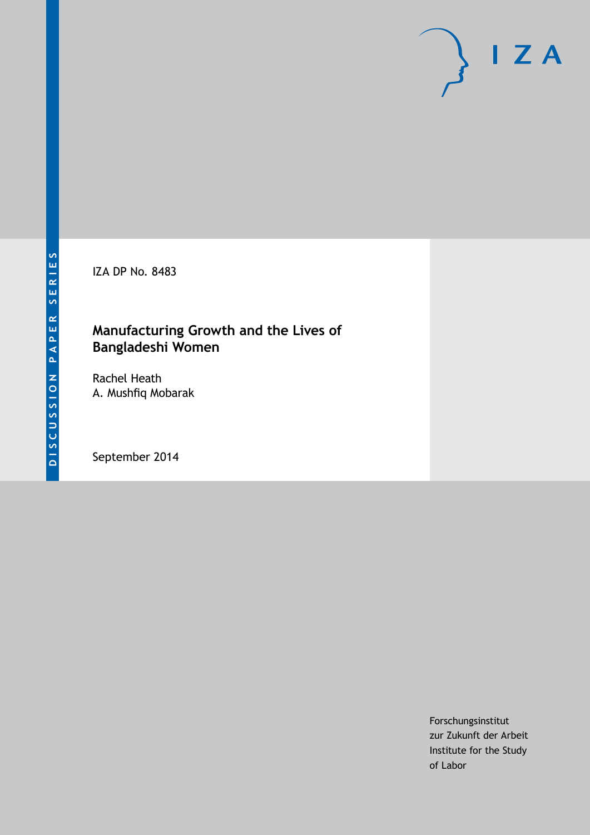IZA DP No. 8483

## **Manufacturing Growth and the Lives of Bangladeshi Women**

Rachel Heath A. Mushfiq Mobarak

September 2014

Forschungsinstitut zur Zukunft der Arbeit Institute for the Study of Labor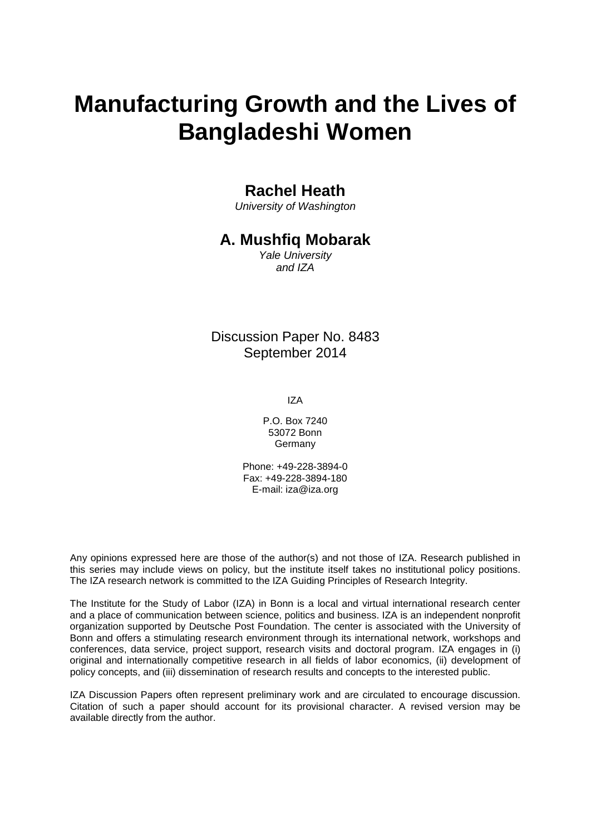# **Manufacturing Growth and the Lives of Bangladeshi Women**

### **Rachel Heath**

*University of Washington*

### **A. Mushfiq Mobarak**

*Yale University and IZA*

### Discussion Paper No. 8483 September 2014

IZA

P.O. Box 7240 53072 Bonn Germany

Phone: +49-228-3894-0 Fax: +49-228-3894-180 E-mail: [iza@iza.org](mailto:iza@iza.org)

Any opinions expressed here are those of the author(s) and not those of IZA. Research published in this series may include views on policy, but the institute itself takes no institutional policy positions. The IZA research network is committed to the IZA Guiding Principles of Research Integrity.

The Institute for the Study of Labor (IZA) in Bonn is a local and virtual international research center and a place of communication between science, politics and business. IZA is an independent nonprofit organization supported by Deutsche Post Foundation. The center is associated with the University of Bonn and offers a stimulating research environment through its international network, workshops and conferences, data service, project support, research visits and doctoral program. IZA engages in (i) original and internationally competitive research in all fields of labor economics, (ii) development of policy concepts, and (iii) dissemination of research results and concepts to the interested public.

<span id="page-1-0"></span>IZA Discussion Papers often represent preliminary work and are circulated to encourage discussion. Citation of such a paper should account for its provisional character. A revised version may be available directly from the author.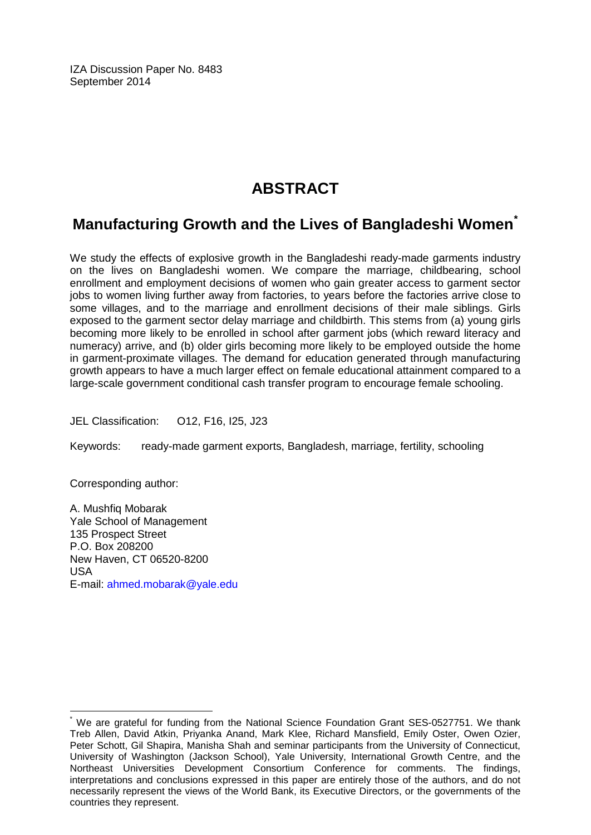IZA Discussion Paper No. 8483 September 2014

# **ABSTRACT**

## **Manufacturing Growth and the Lives of Bangladeshi Women[\\*](#page-1-0)**

We study the effects of explosive growth in the Bangladeshi ready-made garments industry on the lives on Bangladeshi women. We compare the marriage, childbearing, school enrollment and employment decisions of women who gain greater access to garment sector jobs to women living further away from factories, to years before the factories arrive close to some villages, and to the marriage and enrollment decisions of their male siblings. Girls exposed to the garment sector delay marriage and childbirth. This stems from (a) young girls becoming more likely to be enrolled in school after garment jobs (which reward literacy and numeracy) arrive, and (b) older girls becoming more likely to be employed outside the home in garment-proximate villages. The demand for education generated through manufacturing growth appears to have a much larger effect on female educational attainment compared to a large-scale government conditional cash transfer program to encourage female schooling.

JEL Classification: O12, F16, I25, J23

Keywords: ready-made garment exports, Bangladesh, marriage, fertility, schooling

Corresponding author:

A. Mushfiq Mobarak Yale School of Management 135 Prospect Street P.O. Box 208200 New Haven, CT 06520-8200 USA E-mail: [ahmed.mobarak@yale.edu](mailto:ahmed.mobarak@yale.edu)

We are grateful for funding from the National Science Foundation Grant SES-0527751. We thank Treb Allen, David Atkin, Priyanka Anand, Mark Klee, Richard Mansfield, Emily Oster, Owen Ozier, Peter Schott, Gil Shapira, Manisha Shah and seminar participants from the University of Connecticut, University of Washington (Jackson School), Yale University, International Growth Centre, and the Northeast Universities Development Consortium Conference for comments. The findings, interpretations and conclusions expressed in this paper are entirely those of the authors, and do not necessarily represent the views of the World Bank, its Executive Directors, or the governments of the countries they represent.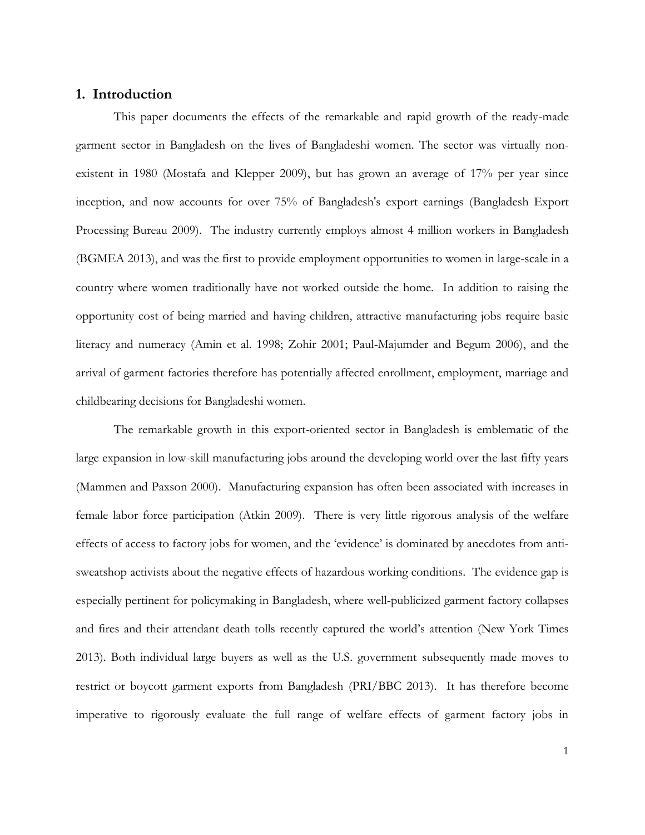#### **1. Introduction**

This paper documents the effects of the remarkable and rapid growth of the ready-made garment sector in Bangladesh on the lives of Bangladeshi women. The sector was virtually nonexistent in 1980 (Mostafa and Klepper 2009), but has grown an average of 17% per year since inception, and now accounts for over 75% of Bangladesh's export earnings (Bangladesh Export Processing Bureau 2009). The industry currently employs almost 4 million workers in Bangladesh (BGMEA 2013), and was the first to provide employment opportunities to women in large-scale in a country where women traditionally have not worked outside the home. In addition to raising the opportunity cost of being married and having children, attractive manufacturing jobs require basic literacy and numeracy (Amin et al. 1998; Zohir 2001; Paul-Majumder and Begum 2006), and the arrival of garment factories therefore has potentially affected enrollment, employment, marriage and childbearing decisions for Bangladeshi women.

The remarkable growth in this export-oriented sector in Bangladesh is emblematic of the large expansion in low-skill manufacturing jobs around the developing world over the last fifty years (Mammen and Paxson 2000). Manufacturing expansion has often been associated with increases in female labor force participation (Atkin 2009). There is very little rigorous analysis of the welfare effects of access to factory jobs for women, and the 'evidence' is dominated by anecdotes from antisweatshop activists about the negative effects of hazardous working conditions. The evidence gap is especially pertinent for policymaking in Bangladesh, where well-publicized garment factory collapses and fires and their attendant death tolls recently captured the world's attention (New York Times 2013). Both individual large buyers as well as the U.S. government subsequently made moves to restrict or boycott garment exports from Bangladesh (PRI/BBC 2013). It has therefore become imperative to rigorously evaluate the full range of welfare effects of garment factory jobs in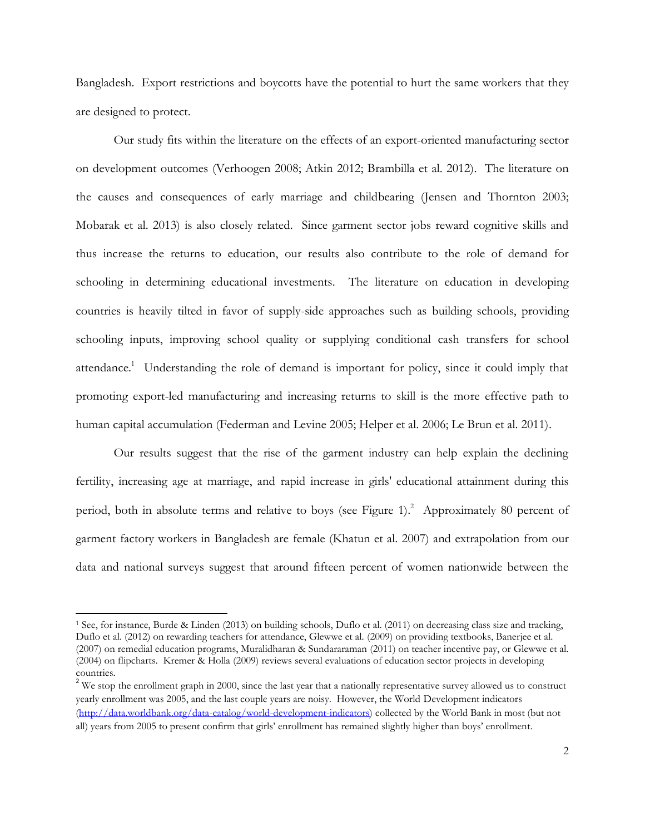Bangladesh. Export restrictions and boycotts have the potential to hurt the same workers that they are designed to protect.

Our study fits within the literature on the effects of an export-oriented manufacturing sector on development outcomes (Verhoogen 2008; Atkin 2012; Brambilla et al. 2012). The literature on the causes and consequences of early marriage and childbearing (Jensen and Thornton 2003; Mobarak et al. 2013) is also closely related. Since garment sector jobs reward cognitive skills and thus increase the returns to education, our results also contribute to the role of demand for schooling in determining educational investments. The literature on education in developing countries is heavily tilted in favor of supply-side approaches such as building schools, providing schooling inputs, improving school quality or supplying conditional cash transfers for school attendance.<sup>1</sup> Understanding the role of demand is important for policy, since it could imply that promoting export-led manufacturing and increasing returns to skill is the more effective path to human capital accumulation (Federman and Levine 2005; Helper et al. 2006; Le Brun et al. 2011).

Our results suggest that the rise of the garment industry can help explain the declining fertility, increasing age at marriage, and rapid increase in girls' educational attainment during this period, both in absolute terms and relative to boys (see Figure 1).<sup>2</sup> Approximately 80 percent of garment factory workers in Bangladesh are female (Khatun et al. 2007) and extrapolation from our data and national surveys suggest that around fifteen percent of women nationwide between the

 $\overline{\phantom{a}}$ 

<sup>1</sup> See, for instance, Burde & Linden (2013) on building schools, Duflo et al. (2011) on decreasing class size and tracking, Duflo et al. (2012) on rewarding teachers for attendance, Glewwe et al. (2009) on providing textbooks, Banerjee et al. (2007) on remedial education programs, Muralidharan & Sundararaman (2011) on teacher incentive pay, or Glewwe et al. (2004) on flipcharts. Kremer & Holla (2009) reviews several evaluations of education sector projects in developing countries.

<sup>&</sup>lt;sup>2</sup> We stop the enrollment graph in 2000, since the last year that a nationally representative survey allowed us to construct yearly enrollment was 2005, and the last couple years are noisy. However, the World Development indicators [\(http://data.worldbank.org/data-catalog/world-development-indicators\)](http://data.worldbank.org/data-catalog/world-development-indicators) collected by the World Bank in most (but not all) years from 2005 to present confirm that girls' enrollment has remained slightly higher than boys' enrollment.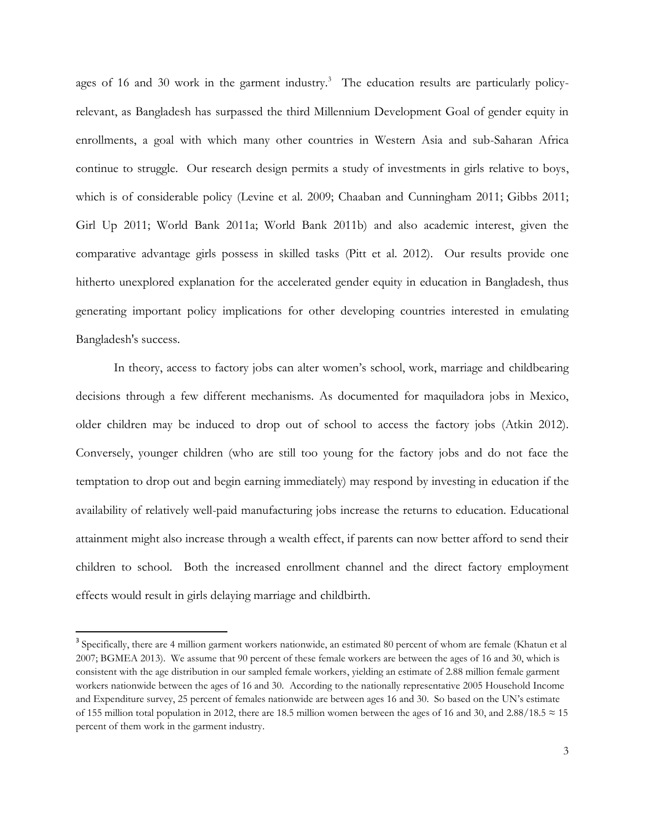ages of 16 and 30 work in the garment industry.<sup>3</sup> The education results are particularly policyrelevant, as Bangladesh has surpassed the third Millennium Development Goal of gender equity in enrollments, a goal with which many other countries in Western Asia and sub-Saharan Africa continue to struggle. Our research design permits a study of investments in girls relative to boys, which is of considerable policy (Levine et al. 2009; Chaaban and Cunningham 2011; Gibbs 2011; Girl Up 2011; World Bank 2011a; World Bank 2011b) and also academic interest, given the comparative advantage girls possess in skilled tasks (Pitt et al. 2012). Our results provide one hitherto unexplored explanation for the accelerated gender equity in education in Bangladesh, thus generating important policy implications for other developing countries interested in emulating Bangladesh's success.

In theory, access to factory jobs can alter women's school, work, marriage and childbearing decisions through a few different mechanisms. As documented for maquiladora jobs in Mexico, older children may be induced to drop out of school to access the factory jobs (Atkin 2012). Conversely, younger children (who are still too young for the factory jobs and do not face the temptation to drop out and begin earning immediately) may respond by investing in education if the availability of relatively well-paid manufacturing jobs increase the returns to education. Educational attainment might also increase through a wealth effect, if parents can now better afford to send their children to school. Both the increased enrollment channel and the direct factory employment effects would result in girls delaying marriage and childbirth.

 $\overline{a}$ 

<sup>&</sup>lt;sup>3</sup> Specifically, there are 4 million garment workers nationwide, an estimated 80 percent of whom are female (Khatun et al 2007; BGMEA 2013). We assume that 90 percent of these female workers are between the ages of 16 and 30, which is consistent with the age distribution in our sampled female workers, yielding an estimate of 2.88 million female garment workers nationwide between the ages of 16 and 30. According to the nationally representative 2005 Household Income and Expenditure survey, 25 percent of females nationwide are between ages 16 and 30. So based on the UN's estimate of 155 million total population in 2012, there are 18.5 million women between the ages of 16 and 30, and 2.88/18.5  $\approx$  15 percent of them work in the garment industry.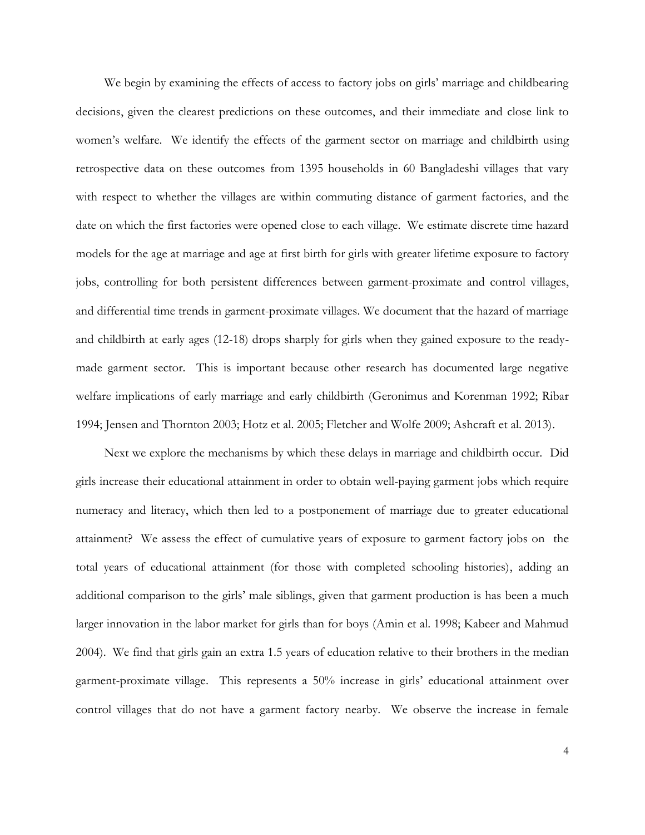We begin by examining the effects of access to factory jobs on girls' marriage and childbearing decisions, given the clearest predictions on these outcomes, and their immediate and close link to women's welfare. We identify the effects of the garment sector on marriage and childbirth using retrospective data on these outcomes from 1395 households in 60 Bangladeshi villages that vary with respect to whether the villages are within commuting distance of garment factories, and the date on which the first factories were opened close to each village. We estimate discrete time hazard models for the age at marriage and age at first birth for girls with greater lifetime exposure to factory jobs, controlling for both persistent differences between garment-proximate and control villages, and differential time trends in garment-proximate villages. We document that the hazard of marriage and childbirth at early ages (12-18) drops sharply for girls when they gained exposure to the readymade garment sector. This is important because other research has documented large negative welfare implications of early marriage and early childbirth (Geronimus and Korenman 1992; Ribar 1994; Jensen and Thornton 2003; Hotz et al. 2005; Fletcher and Wolfe 2009; Ashcraft et al. 2013).

Next we explore the mechanisms by which these delays in marriage and childbirth occur. Did girls increase their educational attainment in order to obtain well-paying garment jobs which require numeracy and literacy, which then led to a postponement of marriage due to greater educational attainment? We assess the effect of cumulative years of exposure to garment factory jobs on the total years of educational attainment (for those with completed schooling histories), adding an additional comparison to the girls' male siblings, given that garment production is has been a much larger innovation in the labor market for girls than for boys (Amin et al. 1998; Kabeer and Mahmud 2004). We find that girls gain an extra 1.5 years of education relative to their brothers in the median garment-proximate village. This represents a 50% increase in girls' educational attainment over control villages that do not have a garment factory nearby. We observe the increase in female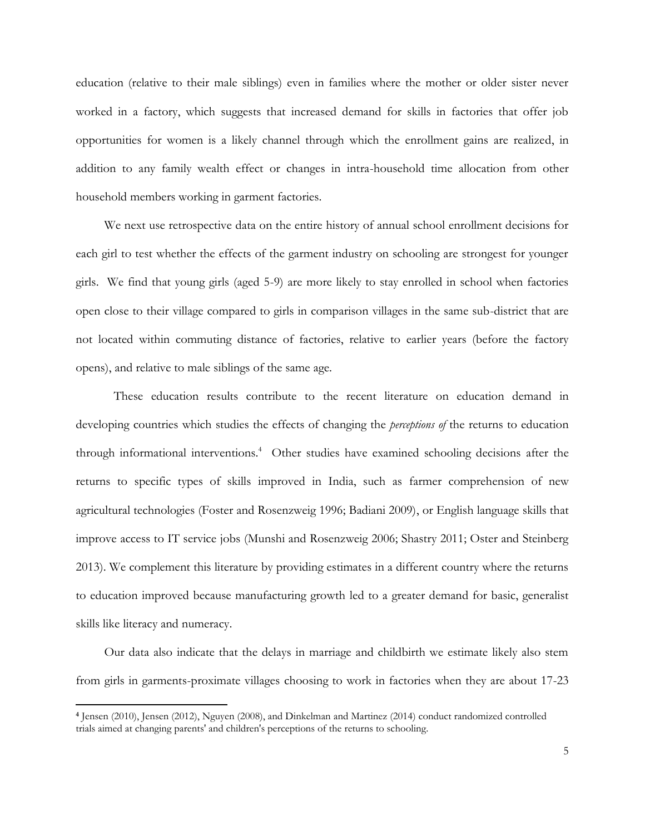education (relative to their male siblings) even in families where the mother or older sister never worked in a factory, which suggests that increased demand for skills in factories that offer job opportunities for women is a likely channel through which the enrollment gains are realized, in addition to any family wealth effect or changes in intra-household time allocation from other household members working in garment factories.

We next use retrospective data on the entire history of annual school enrollment decisions for each girl to test whether the effects of the garment industry on schooling are strongest for younger girls. We find that young girls (aged 5-9) are more likely to stay enrolled in school when factories open close to their village compared to girls in comparison villages in the same sub-district that are not located within commuting distance of factories, relative to earlier years (before the factory opens), and relative to male siblings of the same age.

These education results contribute to the recent literature on education demand in developing countries which studies the effects of changing the *perceptions of* the returns to education through informational interventions.<sup>4</sup> Other studies have examined schooling decisions after the returns to specific types of skills improved in India, such as farmer comprehension of new agricultural technologies (Foster and Rosenzweig 1996; Badiani 2009), or English language skills that improve access to IT service jobs (Munshi and Rosenzweig 2006; Shastry 2011; Oster and Steinberg 2013). We complement this literature by providing estimates in a different country where the returns to education improved because manufacturing growth led to a greater demand for basic, generalist skills like literacy and numeracy.

Our data also indicate that the delays in marriage and childbirth we estimate likely also stem from girls in garments-proximate villages choosing to work in factories when they are about 17-23

 $\overline{a}$ 

**<sup>4</sup>** Jensen (2010), Jensen (2012), Nguyen (2008), and Dinkelman and Martinez (2014) conduct randomized controlled trials aimed at changing parents' and children's perceptions of the returns to schooling.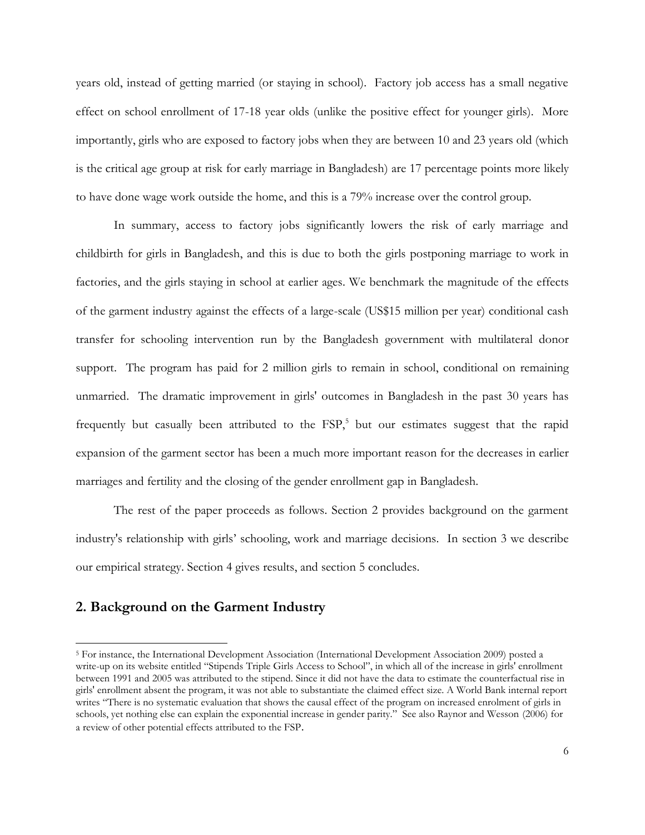years old, instead of getting married (or staying in school). Factory job access has a small negative effect on school enrollment of 17-18 year olds (unlike the positive effect for younger girls). More importantly, girls who are exposed to factory jobs when they are between 10 and 23 years old (which is the critical age group at risk for early marriage in Bangladesh) are 17 percentage points more likely to have done wage work outside the home, and this is a 79% increase over the control group.

In summary, access to factory jobs significantly lowers the risk of early marriage and childbirth for girls in Bangladesh, and this is due to both the girls postponing marriage to work in factories, and the girls staying in school at earlier ages. We benchmark the magnitude of the effects of the garment industry against the effects of a large-scale (US\$15 million per year) conditional cash transfer for schooling intervention run by the Bangladesh government with multilateral donor support. The program has paid for 2 million girls to remain in school, conditional on remaining unmarried. The dramatic improvement in girls' outcomes in Bangladesh in the past 30 years has frequently but casually been attributed to the  $FSP$ ,<sup>5</sup> but our estimates suggest that the rapid expansion of the garment sector has been a much more important reason for the decreases in earlier marriages and fertility and the closing of the gender enrollment gap in Bangladesh.

The rest of the paper proceeds as follows. Section 2 provides background on the garment industry's relationship with girls' schooling, work and marriage decisions. In section 3 we describe our empirical strategy. Section 4 gives results, and section 5 concludes.

#### **2. Background on the Garment Industry**

l

<sup>5</sup> For instance, the International Development Association (International Development Association 2009) posted a write-up on its website entitled "Stipends Triple Girls Access to School", in which all of the increase in girls' enrollment between 1991 and 2005 was attributed to the stipend. Since it did not have the data to estimate the counterfactual rise in girls' enrollment absent the program, it was not able to substantiate the claimed effect size. A World Bank internal report writes "There is no systematic evaluation that shows the causal effect of the program on increased enrolment of girls in schools, yet nothing else can explain the exponential increase in gender parity." See also Raynor and Wesson (2006) for a review of other potential effects attributed to the FSP.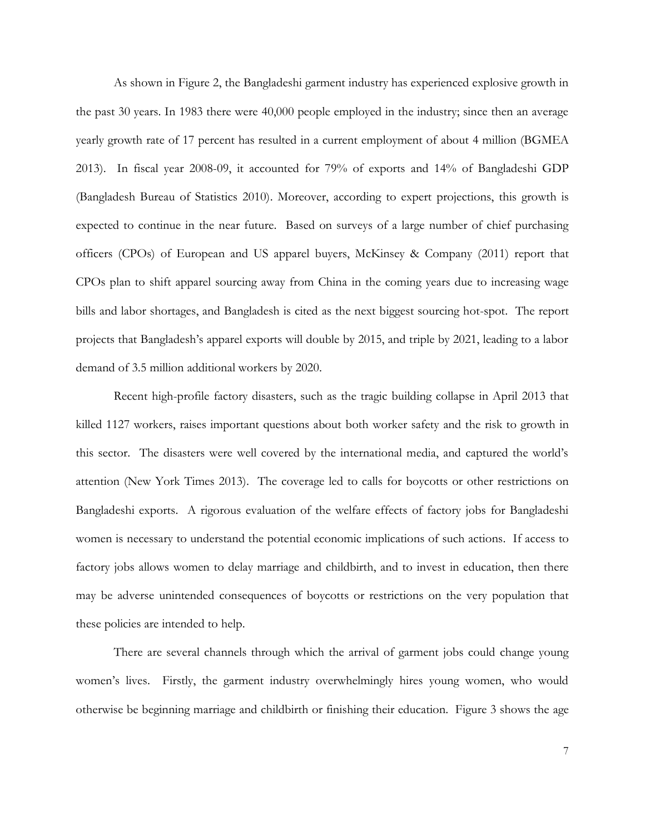As shown in Figure 2, the Bangladeshi garment industry has experienced explosive growth in the past 30 years. In 1983 there were 40,000 people employed in the industry; since then an average yearly growth rate of 17 percent has resulted in a current employment of about 4 million (BGMEA 2013). In fiscal year 2008-09, it accounted for 79% of exports and 14% of Bangladeshi GDP (Bangladesh Bureau of Statistics 2010). Moreover, according to expert projections, this growth is expected to continue in the near future. Based on surveys of a large number of chief purchasing officers (CPOs) of European and US apparel buyers, McKinsey & Company (2011) report that CPOs plan to shift apparel sourcing away from China in the coming years due to increasing wage bills and labor shortages, and Bangladesh is cited as the next biggest sourcing hot-spot. The report projects that Bangladesh's apparel exports will double by 2015, and triple by 2021, leading to a labor demand of 3.5 million additional workers by 2020.

Recent high-profile factory disasters, such as the tragic building collapse in April 2013 that killed 1127 workers, raises important questions about both worker safety and the risk to growth in this sector. The disasters were well covered by the international media, and captured the world's attention (New York Times 2013). The coverage led to calls for boycotts or other restrictions on Bangladeshi exports. A rigorous evaluation of the welfare effects of factory jobs for Bangladeshi women is necessary to understand the potential economic implications of such actions. If access to factory jobs allows women to delay marriage and childbirth, and to invest in education, then there may be adverse unintended consequences of boycotts or restrictions on the very population that these policies are intended to help.

There are several channels through which the arrival of garment jobs could change young women's lives. Firstly, the garment industry overwhelmingly hires young women, who would otherwise be beginning marriage and childbirth or finishing their education. Figure 3 shows the age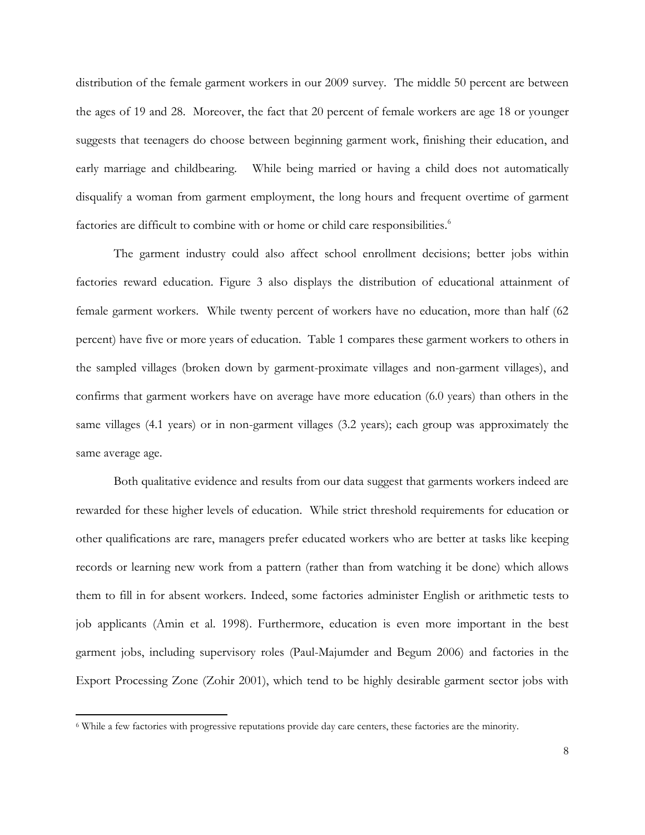distribution of the female garment workers in our 2009 survey. The middle 50 percent are between the ages of 19 and 28. Moreover, the fact that 20 percent of female workers are age 18 or younger suggests that teenagers do choose between beginning garment work, finishing their education, and early marriage and childbearing. While being married or having a child does not automatically disqualify a woman from garment employment, the long hours and frequent overtime of garment factories are difficult to combine with or home or child care responsibilities.<sup>6</sup>

The garment industry could also affect school enrollment decisions; better jobs within factories reward education. Figure 3 also displays the distribution of educational attainment of female garment workers. While twenty percent of workers have no education, more than half (62 percent) have five or more years of education. Table 1 compares these garment workers to others in the sampled villages (broken down by garment-proximate villages and non-garment villages), and confirms that garment workers have on average have more education (6.0 years) than others in the same villages (4.1 years) or in non-garment villages (3.2 years); each group was approximately the same average age.

Both qualitative evidence and results from our data suggest that garments workers indeed are rewarded for these higher levels of education. While strict threshold requirements for education or other qualifications are rare, managers prefer educated workers who are better at tasks like keeping records or learning new work from a pattern (rather than from watching it be done) which allows them to fill in for absent workers. Indeed, some factories administer English or arithmetic tests to job applicants (Amin et al. 1998). Furthermore, education is even more important in the best garment jobs, including supervisory roles (Paul-Majumder and Begum 2006) and factories in the Export Processing Zone (Zohir 2001), which tend to be highly desirable garment sector jobs with

 $\overline{\phantom{a}}$ 

<sup>6</sup> While a few factories with progressive reputations provide day care centers, these factories are the minority.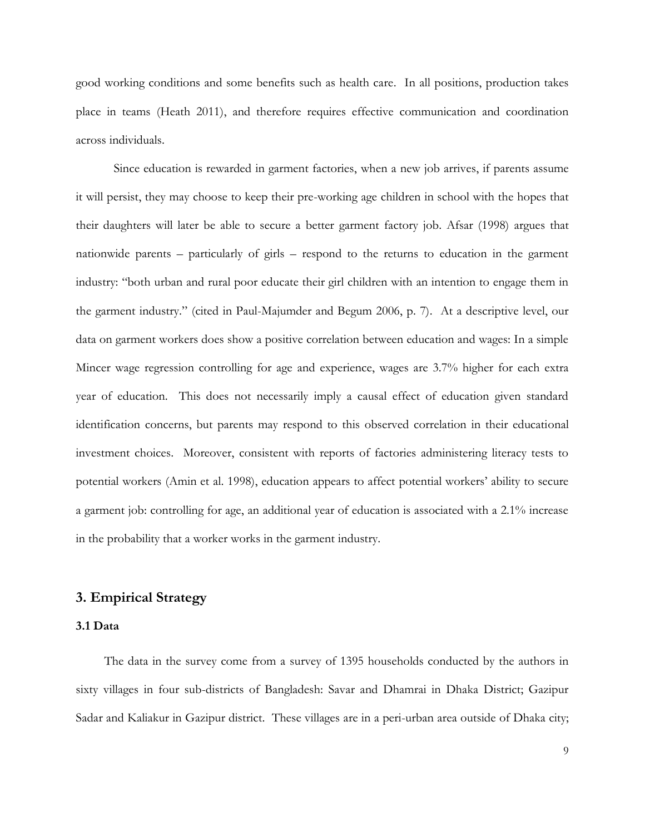good working conditions and some benefits such as health care. In all positions, production takes place in teams (Heath 2011), and therefore requires effective communication and coordination across individuals.

Since education is rewarded in garment factories, when a new job arrives, if parents assume it will persist, they may choose to keep their pre-working age children in school with the hopes that their daughters will later be able to secure a better garment factory job. Afsar (1998) argues that nationwide parents – particularly of girls – respond to the returns to education in the garment industry: "both urban and rural poor educate their girl children with an intention to engage them in the garment industry." (cited in Paul-Majumder and Begum 2006, p. 7). At a descriptive level, our data on garment workers does show a positive correlation between education and wages: In a simple Mincer wage regression controlling for age and experience, wages are 3.7% higher for each extra year of education. This does not necessarily imply a causal effect of education given standard identification concerns, but parents may respond to this observed correlation in their educational investment choices. Moreover, consistent with reports of factories administering literacy tests to potential workers (Amin et al. 1998), education appears to affect potential workers' ability to secure a garment job: controlling for age, an additional year of education is associated with a 2.1% increase in the probability that a worker works in the garment industry.

#### **3. Empirical Strategy**

#### **3.1 Data**

The data in the survey come from a survey of 1395 households conducted by the authors in sixty villages in four sub-districts of Bangladesh: Savar and Dhamrai in Dhaka District; Gazipur Sadar and Kaliakur in Gazipur district. These villages are in a peri-urban area outside of Dhaka city;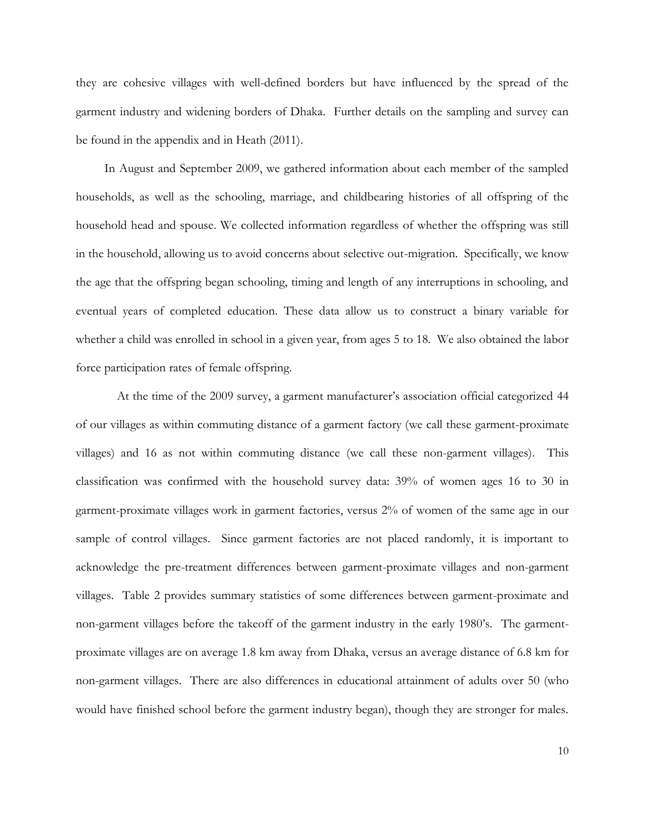they are cohesive villages with well-defined borders but have influenced by the spread of the garment industry and widening borders of Dhaka. Further details on the sampling and survey can be found in the appendix and in Heath (2011).

In August and September 2009, we gathered information about each member of the sampled households, as well as the schooling, marriage, and childbearing histories of all offspring of the household head and spouse. We collected information regardless of whether the offspring was still in the household, allowing us to avoid concerns about selective out-migration. Specifically, we know the age that the offspring began schooling, timing and length of any interruptions in schooling, and eventual years of completed education. These data allow us to construct a binary variable for whether a child was enrolled in school in a given year, from ages 5 to 18. We also obtained the labor force participation rates of female offspring.

At the time of the 2009 survey, a garment manufacturer's association official categorized 44 of our villages as within commuting distance of a garment factory (we call these garment-proximate villages) and 16 as not within commuting distance (we call these non-garment villages). This classification was confirmed with the household survey data: 39% of women ages 16 to 30 in garment-proximate villages work in garment factories, versus 2% of women of the same age in our sample of control villages. Since garment factories are not placed randomly, it is important to acknowledge the pre-treatment differences between garment-proximate villages and non-garment villages. Table 2 provides summary statistics of some differences between garment-proximate and non-garment villages before the takeoff of the garment industry in the early 1980's. The garmentproximate villages are on average 1.8 km away from Dhaka, versus an average distance of 6.8 km for non-garment villages. There are also differences in educational attainment of adults over 50 (who would have finished school before the garment industry began), though they are stronger for males.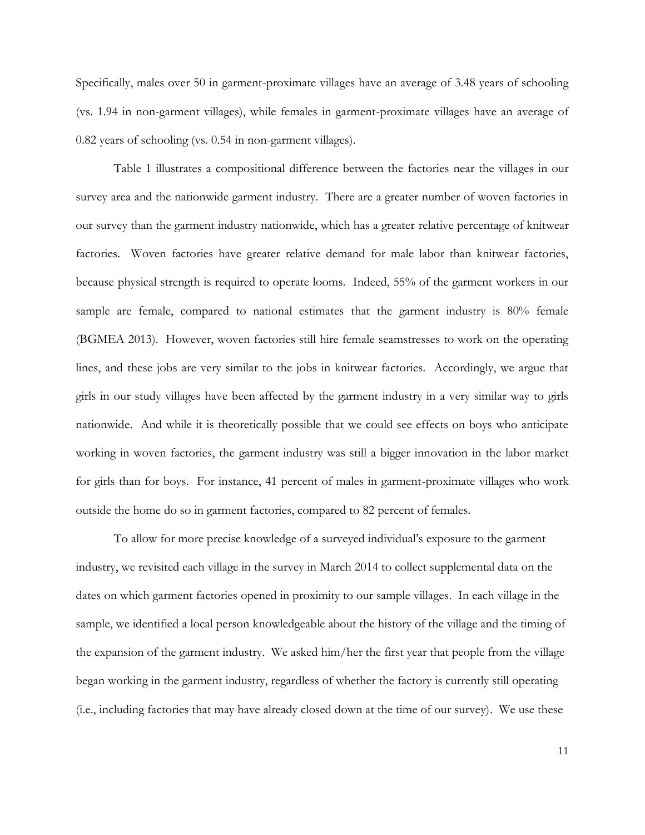Specifically, males over 50 in garment-proximate villages have an average of 3.48 years of schooling (vs. 1.94 in non-garment villages), while females in garment-proximate villages have an average of 0.82 years of schooling (vs. 0.54 in non-garment villages).

Table 1 illustrates a compositional difference between the factories near the villages in our survey area and the nationwide garment industry. There are a greater number of woven factories in our survey than the garment industry nationwide, which has a greater relative percentage of knitwear factories. Woven factories have greater relative demand for male labor than knitwear factories, because physical strength is required to operate looms. Indeed, 55% of the garment workers in our sample are female, compared to national estimates that the garment industry is 80% female (BGMEA 2013). However, woven factories still hire female seamstresses to work on the operating lines, and these jobs are very similar to the jobs in knitwear factories. Accordingly, we argue that girls in our study villages have been affected by the garment industry in a very similar way to girls nationwide. And while it is theoretically possible that we could see effects on boys who anticipate working in woven factories, the garment industry was still a bigger innovation in the labor market for girls than for boys. For instance, 41 percent of males in garment-proximate villages who work outside the home do so in garment factories, compared to 82 percent of females.

To allow for more precise knowledge of a surveyed individual's exposure to the garment industry, we revisited each village in the survey in March 2014 to collect supplemental data on the dates on which garment factories opened in proximity to our sample villages. In each village in the sample, we identified a local person knowledgeable about the history of the village and the timing of the expansion of the garment industry. We asked him/her the first year that people from the village began working in the garment industry, regardless of whether the factory is currently still operating (i.e., including factories that may have already closed down at the time of our survey). We use these

11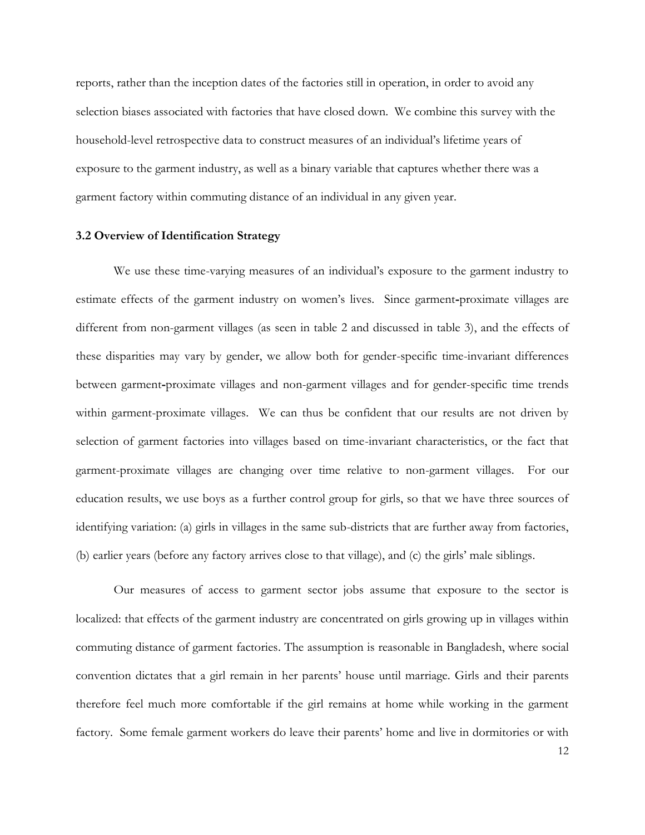reports, rather than the inception dates of the factories still in operation, in order to avoid any selection biases associated with factories that have closed down. We combine this survey with the household-level retrospective data to construct measures of an individual's lifetime years of exposure to the garment industry, as well as a binary variable that captures whether there was a garment factory within commuting distance of an individual in any given year.

#### **3.2 Overview of Identification Strategy**

We use these time-varying measures of an individual's exposure to the garment industry to estimate effects of the garment industry on women's lives. Since garment**-**proximate villages are different from non-garment villages (as seen in table 2 and discussed in table 3), and the effects of these disparities may vary by gender, we allow both for gender-specific time-invariant differences between garment**-**proximate villages and non-garment villages and for gender-specific time trends within garment-proximate villages. We can thus be confident that our results are not driven by selection of garment factories into villages based on time-invariant characteristics, or the fact that garment-proximate villages are changing over time relative to non-garment villages. For our education results, we use boys as a further control group for girls, so that we have three sources of identifying variation: (a) girls in villages in the same sub-districts that are further away from factories, (b) earlier years (before any factory arrives close to that village), and (c) the girls' male siblings.

Our measures of access to garment sector jobs assume that exposure to the sector is localized: that effects of the garment industry are concentrated on girls growing up in villages within commuting distance of garment factories. The assumption is reasonable in Bangladesh, where social convention dictates that a girl remain in her parents' house until marriage. Girls and their parents therefore feel much more comfortable if the girl remains at home while working in the garment factory. Some female garment workers do leave their parents' home and live in dormitories or with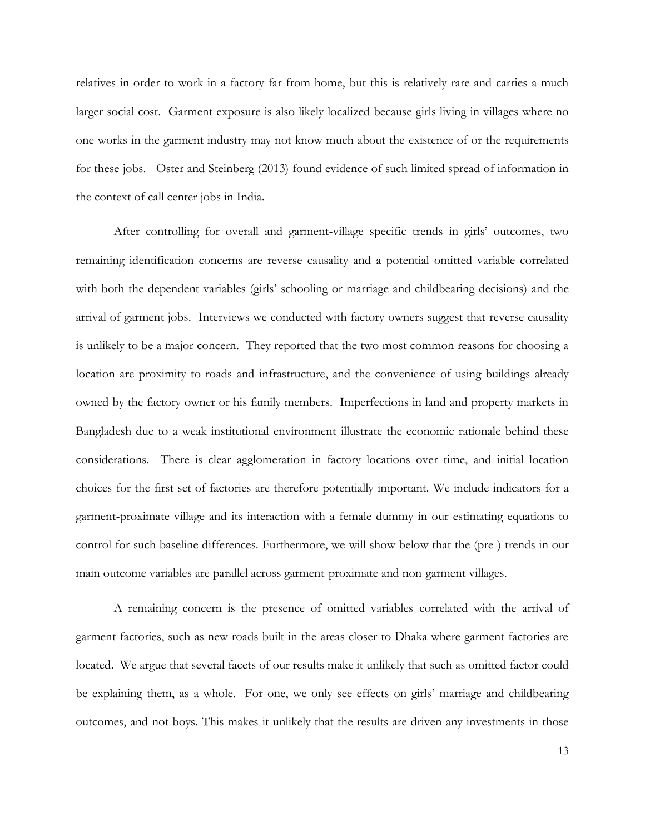relatives in order to work in a factory far from home, but this is relatively rare and carries a much larger social cost. Garment exposure is also likely localized because girls living in villages where no one works in the garment industry may not know much about the existence of or the requirements for these jobs. Oster and Steinberg (2013) found evidence of such limited spread of information in the context of call center jobs in India.

After controlling for overall and garment-village specific trends in girls' outcomes, two remaining identification concerns are reverse causality and a potential omitted variable correlated with both the dependent variables (girls' schooling or marriage and childbearing decisions) and the arrival of garment jobs. Interviews we conducted with factory owners suggest that reverse causality is unlikely to be a major concern. They reported that the two most common reasons for choosing a location are proximity to roads and infrastructure, and the convenience of using buildings already owned by the factory owner or his family members. Imperfections in land and property markets in Bangladesh due to a weak institutional environment illustrate the economic rationale behind these considerations. There is clear agglomeration in factory locations over time, and initial location choices for the first set of factories are therefore potentially important. We include indicators for a garment-proximate village and its interaction with a female dummy in our estimating equations to control for such baseline differences. Furthermore, we will show below that the (pre-) trends in our main outcome variables are parallel across garment-proximate and non-garment villages.

A remaining concern is the presence of omitted variables correlated with the arrival of garment factories, such as new roads built in the areas closer to Dhaka where garment factories are located. We argue that several facets of our results make it unlikely that such as omitted factor could be explaining them, as a whole. For one, we only see effects on girls' marriage and childbearing outcomes, and not boys. This makes it unlikely that the results are driven any investments in those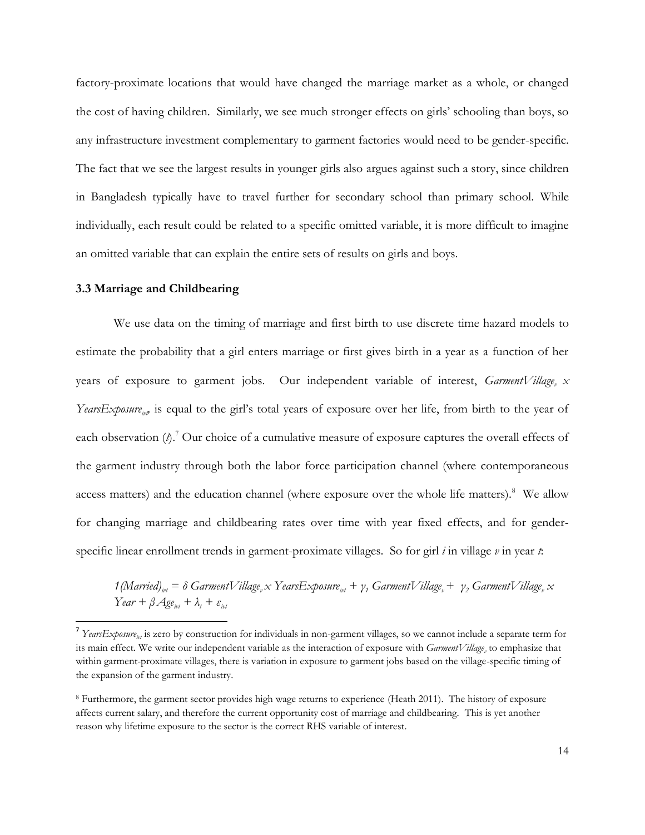factory-proximate locations that would have changed the marriage market as a whole, or changed the cost of having children. Similarly, we see much stronger effects on girls' schooling than boys, so any infrastructure investment complementary to garment factories would need to be gender-specific. The fact that we see the largest results in younger girls also argues against such a story, since children in Bangladesh typically have to travel further for secondary school than primary school. While individually, each result could be related to a specific omitted variable, it is more difficult to imagine an omitted variable that can explain the entire sets of results on girls and boys.

#### **3.3 Marriage and Childbearing**

 $\overline{\phantom{a}}$ 

We use data on the timing of marriage and first birth to use discrete time hazard models to estimate the probability that a girl enters marriage or first gives birth in a year as a function of her years of exposure to garment jobs. Our independent variable of interest, *GarmentVillage*<sub>*v*</sub>  $x$ *YearsExposure<sub>iv</sub>*, is equal to the girl's total years of exposure over her life, from birth to the year of each observation  $(\hat{\rho})$ .<sup>7</sup> Our choice of a cumulative measure of exposure captures the overall effects of the garment industry through both the labor force participation channel (where contemporaneous access matters) and the education channel (where exposure over the whole life matters).<sup>8</sup> We allow for changing marriage and childbearing rates over time with year fixed effects, and for genderspecific linear enrollment trends in garment-proximate villages. So for girl *i* in village *v* in year *t*:

 $1$ (Married)<sub>ivt</sub> =  $\delta$  GarmentVillage<sub>v</sub>  $\propto$  YearsExposure<sub>ivt</sub> +  $\gamma$ <sub>1</sub> GarmentVillage<sub>v</sub> +  $\gamma$ <sub>2</sub> GarmentVillage<sub>v</sub>  $\propto$  $Year + \beta$ *Age*<sub>ivt</sub></sub>  $+ \lambda_t + \varepsilon_{int}$ 

<sup>&</sup>lt;sup>7</sup> YearsExposure<sub>in</sub> is zero by construction for individuals in non-garment villages, so we cannot include a separate term for its main effect. We write our independent variable as the interaction of exposure with *GarmentVillage<sup>v</sup>* to emphasize that within garment-proximate villages, there is variation in exposure to garment jobs based on the village-specific timing of the expansion of the garment industry.

<sup>8</sup> Furthermore, the garment sector provides high wage returns to experience (Heath 2011). The history of exposure affects current salary, and therefore the current opportunity cost of marriage and childbearing. This is yet another reason why lifetime exposure to the sector is the correct RHS variable of interest.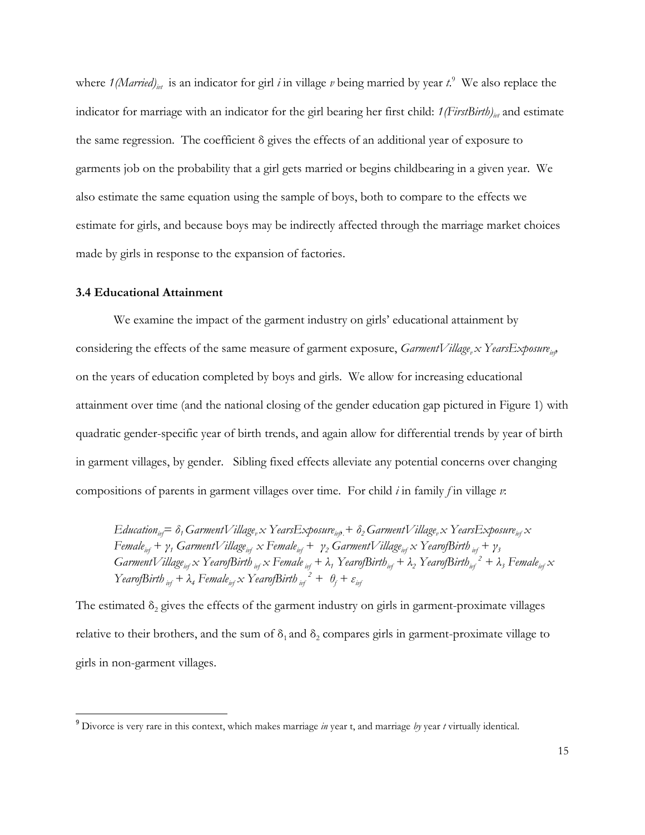where  $1(Married)_{\text{int}}$  is an indicator for girl *i* in village *v* being married by year *t*.<sup>9</sup> We also replace the indicator for marriage with an indicator for the girl bearing her first child:  $1(FirstBirth)_{int}$  and estimate the same regression. The coefficient δ gives the effects of an additional year of exposure to garments job on the probability that a girl gets married or begins childbearing in a given year. We also estimate the same equation using the sample of boys, both to compare to the effects we estimate for girls, and because boys may be indirectly affected through the marriage market choices made by girls in response to the expansion of factories.

#### **3.4 Educational Attainment**

 $\overline{a}$ 

We examine the impact of the garment industry on girls' educational attainment by considering the effects of the same measure of garment exposure, *GarmentVillage<sub>r</sub> x YearsExposure*<sub>inp</sub> on the years of education completed by boys and girls. We allow for increasing educational attainment over time (and the national closing of the gender education gap pictured in Figure 1) with quadratic gender-specific year of birth trends, and again allow for differential trends by year of birth in garment villages, by gender. Sibling fixed effects alleviate any potential concerns over changing compositions of parents in garment villages over time. For child *i* in family *f* in village *v*:

 $E$ ducation $_{i\nu}$   $= \delta$  ,  $G$ armentVillage,  $x$  Years $E$ xposure $_{i\nu\beta}$   $+$   $\delta$   $_GG$ armentVillage,  $x$  Years $E$ xposure $_{i\nu f}$   $x$  $Female_{\text{inf}} + \gamma_1 \text{ Garment}$ Village<sub>ivf</sub>  $x \text{ Female}_{\text{inf}} + \gamma_2 \text{ Garment}$ Village<sub>ivf</sub>  $x \text{ Yearof}$ Birth  $\gamma_1 + \gamma_2$ GarmentVillage<sub>irf</sub> x YearofBirth <sub>irf</sub> x Female <sub>irf</sub> +  $\lambda_1$  YearofBirth<sub>irf</sub> +  $\lambda_2$  YearofBirth<sub>irf</sub> <sup>2</sup> +  $\lambda_3$  Female<sub>irf</sub> x *YearofBirth*  $_{if}$  +  $\lambda_4$  *Female*<sub>ivf</sub>  $\propto$  *YearofBirth*  $_{if}$ <sup>2</sup> +  $\theta_f$  +  $\varepsilon_{if}$ 

The estimated  $\delta_2$  gives the effects of the garment industry on girls in garment-proximate villages relative to their brothers, and the sum of  $\delta_1$  and  $\delta_2$  compares girls in garment-proximate village to girls in non-garment villages.

<sup>9</sup> Divorce is very rare in this context, which makes marriage *in* year t, and marriage *by* year *t* virtually identical.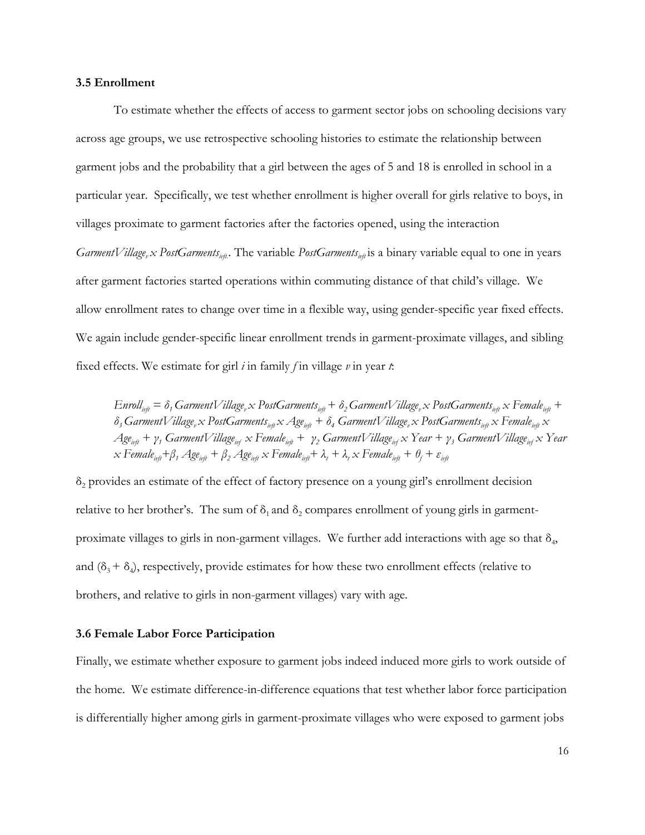#### **3.5 Enrollment**

To estimate whether the effects of access to garment sector jobs on schooling decisions vary across age groups, we use retrospective schooling histories to estimate the relationship between garment jobs and the probability that a girl between the ages of 5 and 18 is enrolled in school in a particular year. Specifically, we test whether enrollment is higher overall for girls relative to boys, in villages proximate to garment factories after the factories opened, using the interaction *GarmentVillage*<sub>*v</sub> x PostGarments*<sub>*ivft*</sub>. The variable *PostGarments*<sub>*ivft*</sub> is a binary variable equal to one in years</sub> after garment factories started operations within commuting distance of that child's village. We allow enrollment rates to change over time in a flexible way, using gender-specific year fixed effects. We again include gender-specific linear enrollment trends in garment-proximate villages, and sibling fixed effects. We estimate for girl *i* in family *f* in village *v* in year *t*:

 $Enroll<sub>inf</sub> = \delta_1 Garment Village<sub>v</sub> \times PostGarments<sub>inf</sub> + \delta_2 Garment Village<sub>v</sub> \times PostGarments<sub>inf</sub> \times Female<sub>inf</sub> +$  $\delta_3$  GarmentVillage, x PostGarments<sub>ivft</sub> x Age<sub>ivft</sub> +  $\delta_4$  GarmentVillage, x PostGarments<sub>ivft</sub> x Female<sub>ivft</sub> x  $Age_{\text{inf}} + \gamma$ <sub>1</sub> GarmentVillage<sub>inf</sub> x Female<sub>inf</sub> +  $\gamma_2$  GarmentVillage<sub>inf</sub> x Year +  $\gamma_3$  GarmentVillage<sub>inf</sub> x Year  $x \text{ Female}_{\text{inf}} + \beta_1 \text{ Age}_{\text{inf}} + \beta_2 \text{ Age}_{\text{inf}} \times \text{Female}_{\text{inf}} + \lambda_1 + \lambda_2 \text{ x Female}_{\text{inf}} + \theta_1 + \varepsilon_{\text{inf}}$ 

 $\delta_2$  provides an estimate of the effect of factory presence on a young girl's enrollment decision relative to her brother's. The sum of  $\delta_1$  and  $\delta_2$  compares enrollment of young girls in garmentproximate villages to girls in non-garment villages. We further add interactions with age so that  $\delta_4$ , and  $(\delta_3 + \delta_4)$ , respectively, provide estimates for how these two enrollment effects (relative to brothers, and relative to girls in non-garment villages) vary with age.

#### **3.6 Female Labor Force Participation**

Finally, we estimate whether exposure to garment jobs indeed induced more girls to work outside of the home. We estimate difference-in-difference equations that test whether labor force participation is differentially higher among girls in garment-proximate villages who were exposed to garment jobs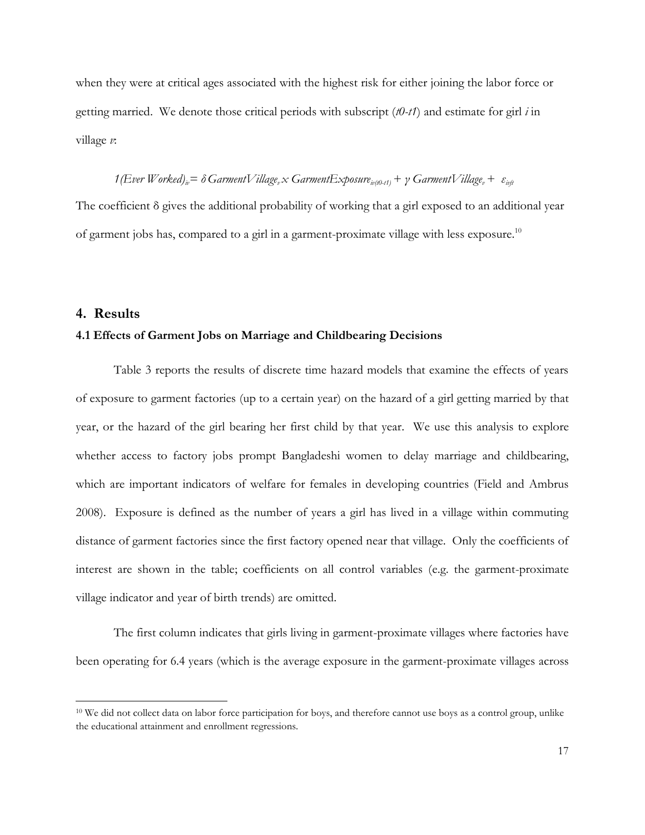when they were at critical ages associated with the highest risk for either joining the labor force or getting married. We denote those critical periods with subscript (*t0-t1*) and estimate for girl *i* in village *v*:

#### $1(EveV Vorked)_{ir} = \delta GarmentVillage_{ir} \times GarmentExposure_{ir(d) - t1} + \gamma GarmentVillage_{ir} + \varepsilon_{irit}$

The coefficient δ gives the additional probability of working that a girl exposed to an additional year of garment jobs has, compared to a girl in a garment-proximate village with less exposure.<sup>10</sup>

#### **4. Results**

 $\overline{a}$ 

#### **4.1 Effects of Garment Jobs on Marriage and Childbearing Decisions**

Table 3 reports the results of discrete time hazard models that examine the effects of years of exposure to garment factories (up to a certain year) on the hazard of a girl getting married by that year, or the hazard of the girl bearing her first child by that year. We use this analysis to explore whether access to factory jobs prompt Bangladeshi women to delay marriage and childbearing, which are important indicators of welfare for females in developing countries (Field and Ambrus 2008). Exposure is defined as the number of years a girl has lived in a village within commuting distance of garment factories since the first factory opened near that village. Only the coefficients of interest are shown in the table; coefficients on all control variables (e.g. the garment-proximate village indicator and year of birth trends) are omitted.

The first column indicates that girls living in garment-proximate villages where factories have been operating for 6.4 years (which is the average exposure in the garment-proximate villages across

<sup>&</sup>lt;sup>10</sup> We did not collect data on labor force participation for boys, and therefore cannot use boys as a control group, unlike the educational attainment and enrollment regressions.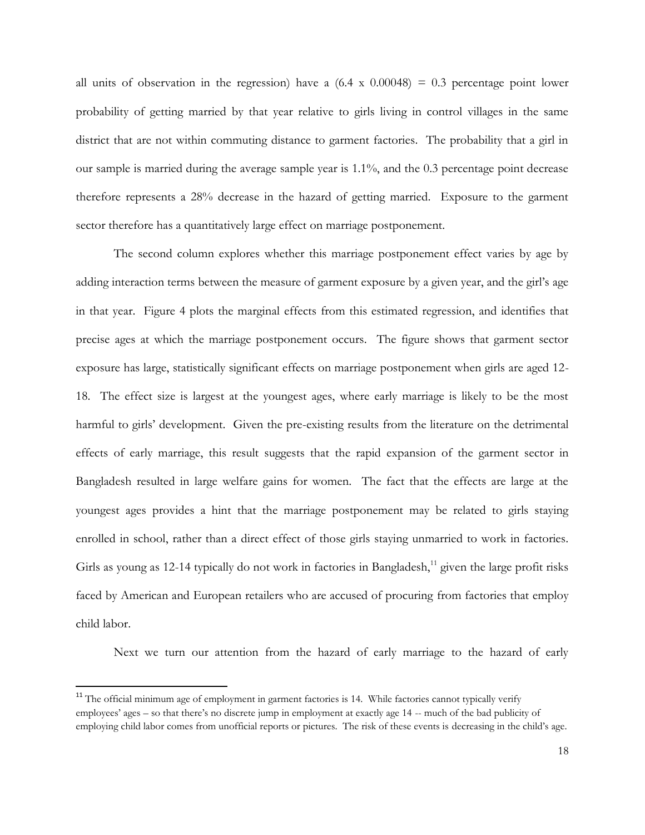all units of observation in the regression) have a  $(6.4 \times 0.00048) = 0.3$  percentage point lower probability of getting married by that year relative to girls living in control villages in the same district that are not within commuting distance to garment factories. The probability that a girl in our sample is married during the average sample year is 1.1%, and the 0.3 percentage point decrease therefore represents a 28% decrease in the hazard of getting married. Exposure to the garment sector therefore has a quantitatively large effect on marriage postponement.

The second column explores whether this marriage postponement effect varies by age by adding interaction terms between the measure of garment exposure by a given year, and the girl's age in that year. Figure 4 plots the marginal effects from this estimated regression, and identifies that precise ages at which the marriage postponement occurs. The figure shows that garment sector exposure has large, statistically significant effects on marriage postponement when girls are aged 12- 18. The effect size is largest at the youngest ages, where early marriage is likely to be the most harmful to girls' development. Given the pre-existing results from the literature on the detrimental effects of early marriage, this result suggests that the rapid expansion of the garment sector in Bangladesh resulted in large welfare gains for women. The fact that the effects are large at the youngest ages provides a hint that the marriage postponement may be related to girls staying enrolled in school, rather than a direct effect of those girls staying unmarried to work in factories. Girls as young as 12-14 typically do not work in factories in Bangladesh, $^{11}$  given the large profit risks faced by American and European retailers who are accused of procuring from factories that employ child labor.

Next we turn our attention from the hazard of early marriage to the hazard of early

 $\overline{a}$ 

<sup>&</sup>lt;sup>11</sup> The official minimum age of employment in garment factories is 14. While factories cannot typically verify employees' ages – so that there's no discrete jump in employment at exactly age 14 -- much of the bad publicity of employing child labor comes from unofficial reports or pictures. The risk of these events is decreasing in the child's age.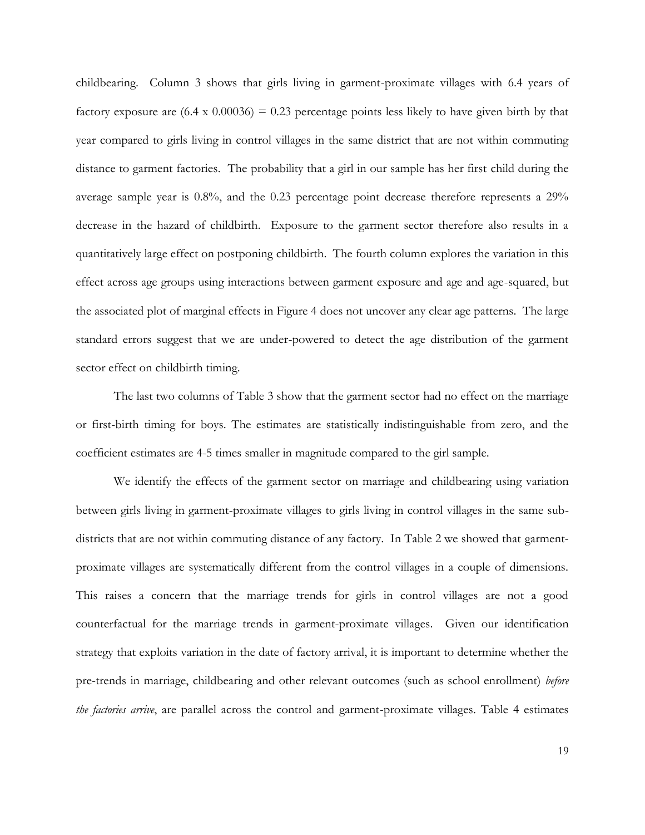childbearing. Column 3 shows that girls living in garment-proximate villages with 6.4 years of factory exposure are  $(6.4 \times 0.00036) = 0.23$  percentage points less likely to have given birth by that year compared to girls living in control villages in the same district that are not within commuting distance to garment factories. The probability that a girl in our sample has her first child during the average sample year is 0.8%, and the 0.23 percentage point decrease therefore represents a 29% decrease in the hazard of childbirth. Exposure to the garment sector therefore also results in a quantitatively large effect on postponing childbirth. The fourth column explores the variation in this effect across age groups using interactions between garment exposure and age and age-squared, but the associated plot of marginal effects in Figure 4 does not uncover any clear age patterns. The large standard errors suggest that we are under-powered to detect the age distribution of the garment sector effect on childbirth timing.

The last two columns of Table 3 show that the garment sector had no effect on the marriage or first-birth timing for boys. The estimates are statistically indistinguishable from zero, and the coefficient estimates are 4-5 times smaller in magnitude compared to the girl sample.

We identify the effects of the garment sector on marriage and childbearing using variation between girls living in garment-proximate villages to girls living in control villages in the same subdistricts that are not within commuting distance of any factory. In Table 2 we showed that garmentproximate villages are systematically different from the control villages in a couple of dimensions. This raises a concern that the marriage trends for girls in control villages are not a good counterfactual for the marriage trends in garment-proximate villages. Given our identification strategy that exploits variation in the date of factory arrival, it is important to determine whether the pre-trends in marriage, childbearing and other relevant outcomes (such as school enrollment) *before the factories arrive*, are parallel across the control and garment-proximate villages. Table 4 estimates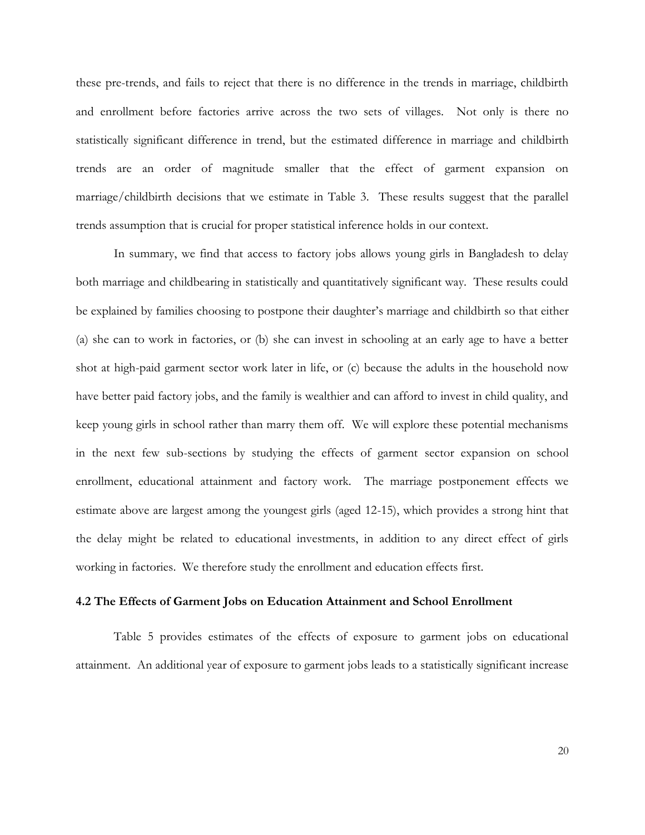these pre-trends, and fails to reject that there is no difference in the trends in marriage, childbirth and enrollment before factories arrive across the two sets of villages. Not only is there no statistically significant difference in trend, but the estimated difference in marriage and childbirth trends are an order of magnitude smaller that the effect of garment expansion on marriage/childbirth decisions that we estimate in Table 3. These results suggest that the parallel trends assumption that is crucial for proper statistical inference holds in our context.

In summary, we find that access to factory jobs allows young girls in Bangladesh to delay both marriage and childbearing in statistically and quantitatively significant way. These results could be explained by families choosing to postpone their daughter's marriage and childbirth so that either (a) she can to work in factories, or (b) she can invest in schooling at an early age to have a better shot at high-paid garment sector work later in life, or (c) because the adults in the household now have better paid factory jobs, and the family is wealthier and can afford to invest in child quality, and keep young girls in school rather than marry them off. We will explore these potential mechanisms in the next few sub-sections by studying the effects of garment sector expansion on school enrollment, educational attainment and factory work. The marriage postponement effects we estimate above are largest among the youngest girls (aged 12-15), which provides a strong hint that the delay might be related to educational investments, in addition to any direct effect of girls working in factories. We therefore study the enrollment and education effects first.

#### **4.2 The Effects of Garment Jobs on Education Attainment and School Enrollment**

Table 5 provides estimates of the effects of exposure to garment jobs on educational attainment. An additional year of exposure to garment jobs leads to a statistically significant increase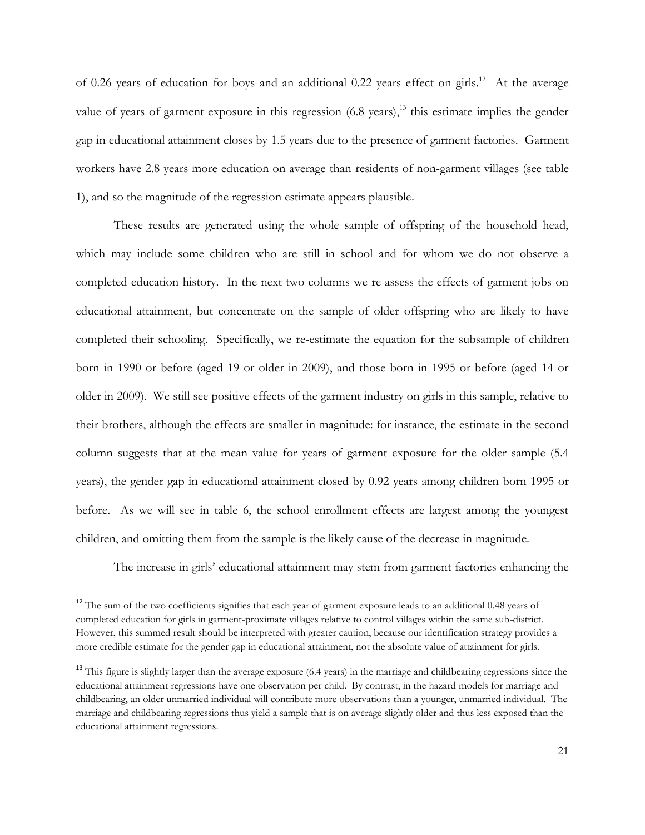of 0.26 years of education for boys and an additional 0.22 years effect on girls.<sup>12</sup> At the average value of years of garment exposure in this regression  $(6.8 \text{ years})$ ,<sup>13</sup> this estimate implies the gender gap in educational attainment closes by 1.5 years due to the presence of garment factories. Garment workers have 2.8 years more education on average than residents of non-garment villages (see table 1), and so the magnitude of the regression estimate appears plausible.

These results are generated using the whole sample of offspring of the household head, which may include some children who are still in school and for whom we do not observe a completed education history. In the next two columns we re-assess the effects of garment jobs on educational attainment, but concentrate on the sample of older offspring who are likely to have completed their schooling. Specifically, we re-estimate the equation for the subsample of children born in 1990 or before (aged 19 or older in 2009), and those born in 1995 or before (aged 14 or older in 2009). We still see positive effects of the garment industry on girls in this sample, relative to their brothers, although the effects are smaller in magnitude: for instance, the estimate in the second column suggests that at the mean value for years of garment exposure for the older sample (5.4 years), the gender gap in educational attainment closed by 0.92 years among children born 1995 or before. As we will see in table 6, the school enrollment effects are largest among the youngest children, and omitting them from the sample is the likely cause of the decrease in magnitude.

The increase in girls' educational attainment may stem from garment factories enhancing the

 $\overline{\phantom{a}}$ 

<sup>&</sup>lt;sup>12</sup> The sum of the two coefficients signifies that each year of garment exposure leads to an additional 0.48 years of completed education for girls in garment-proximate villages relative to control villages within the same sub-district. However, this summed result should be interpreted with greater caution, because our identification strategy provides a more credible estimate for the gender gap in educational attainment, not the absolute value of attainment for girls.

<sup>&</sup>lt;sup>13</sup> This figure is slightly larger than the average exposure (6.4 years) in the marriage and childbearing regressions since the educational attainment regressions have one observation per child. By contrast, in the hazard models for marriage and childbearing, an older unmarried individual will contribute more observations than a younger, unmarried individual. The marriage and childbearing regressions thus yield a sample that is on average slightly older and thus less exposed than the educational attainment regressions.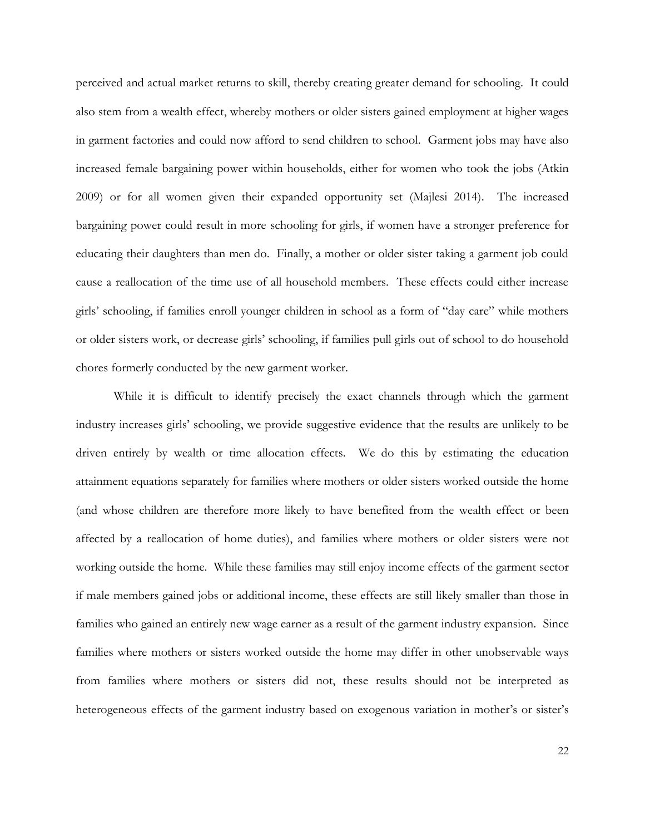perceived and actual market returns to skill, thereby creating greater demand for schooling. It could also stem from a wealth effect, whereby mothers or older sisters gained employment at higher wages in garment factories and could now afford to send children to school. Garment jobs may have also increased female bargaining power within households, either for women who took the jobs (Atkin 2009) or for all women given their expanded opportunity set (Majlesi 2014). The increased bargaining power could result in more schooling for girls, if women have a stronger preference for educating their daughters than men do. Finally, a mother or older sister taking a garment job could cause a reallocation of the time use of all household members. These effects could either increase girls' schooling, if families enroll younger children in school as a form of "day care" while mothers or older sisters work, or decrease girls' schooling, if families pull girls out of school to do household chores formerly conducted by the new garment worker.

While it is difficult to identify precisely the exact channels through which the garment industry increases girls' schooling, we provide suggestive evidence that the results are unlikely to be driven entirely by wealth or time allocation effects. We do this by estimating the education attainment equations separately for families where mothers or older sisters worked outside the home (and whose children are therefore more likely to have benefited from the wealth effect or been affected by a reallocation of home duties), and families where mothers or older sisters were not working outside the home. While these families may still enjoy income effects of the garment sector if male members gained jobs or additional income, these effects are still likely smaller than those in families who gained an entirely new wage earner as a result of the garment industry expansion. Since families where mothers or sisters worked outside the home may differ in other unobservable ways from families where mothers or sisters did not, these results should not be interpreted as heterogeneous effects of the garment industry based on exogenous variation in mother's or sister's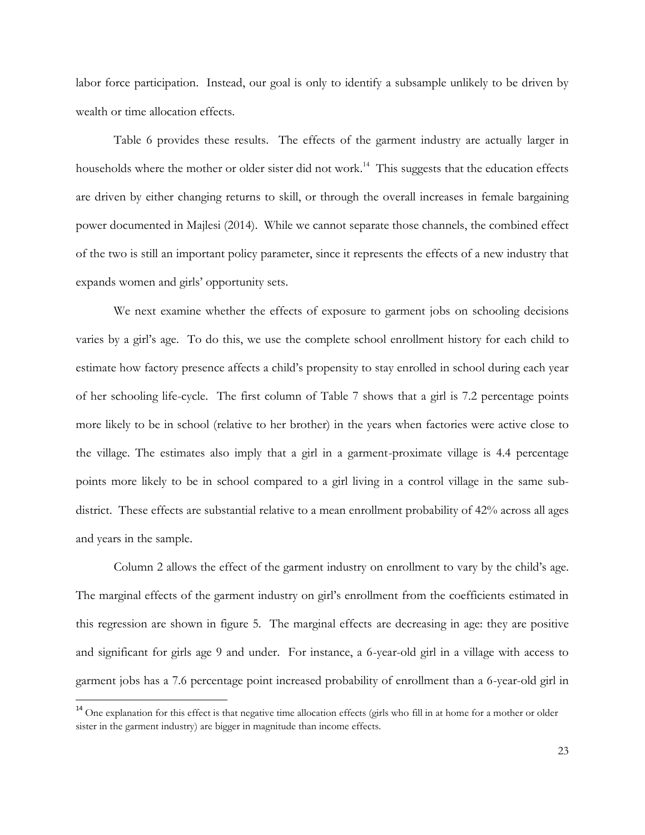labor force participation. Instead, our goal is only to identify a subsample unlikely to be driven by wealth or time allocation effects.

Table 6 provides these results. The effects of the garment industry are actually larger in households where the mother or older sister did not work.<sup>14</sup> This suggests that the education effects are driven by either changing returns to skill, or through the overall increases in female bargaining power documented in Majlesi (2014). While we cannot separate those channels, the combined effect of the two is still an important policy parameter, since it represents the effects of a new industry that expands women and girls' opportunity sets.

We next examine whether the effects of exposure to garment jobs on schooling decisions varies by a girl's age. To do this, we use the complete school enrollment history for each child to estimate how factory presence affects a child's propensity to stay enrolled in school during each year of her schooling life-cycle. The first column of Table 7 shows that a girl is 7.2 percentage points more likely to be in school (relative to her brother) in the years when factories were active close to the village. The estimates also imply that a girl in a garment-proximate village is 4.4 percentage points more likely to be in school compared to a girl living in a control village in the same subdistrict. These effects are substantial relative to a mean enrollment probability of 42% across all ages and years in the sample.

Column 2 allows the effect of the garment industry on enrollment to vary by the child's age. The marginal effects of the garment industry on girl's enrollment from the coefficients estimated in this regression are shown in figure 5. The marginal effects are decreasing in age: they are positive and significant for girls age 9 and under. For instance, a 6-year-old girl in a village with access to garment jobs has a 7.6 percentage point increased probability of enrollment than a 6-year-old girl in

 $\overline{\phantom{a}}$ 

<sup>&</sup>lt;sup>14</sup> One explanation for this effect is that negative time allocation effects (girls who fill in at home for a mother or older sister in the garment industry) are bigger in magnitude than income effects.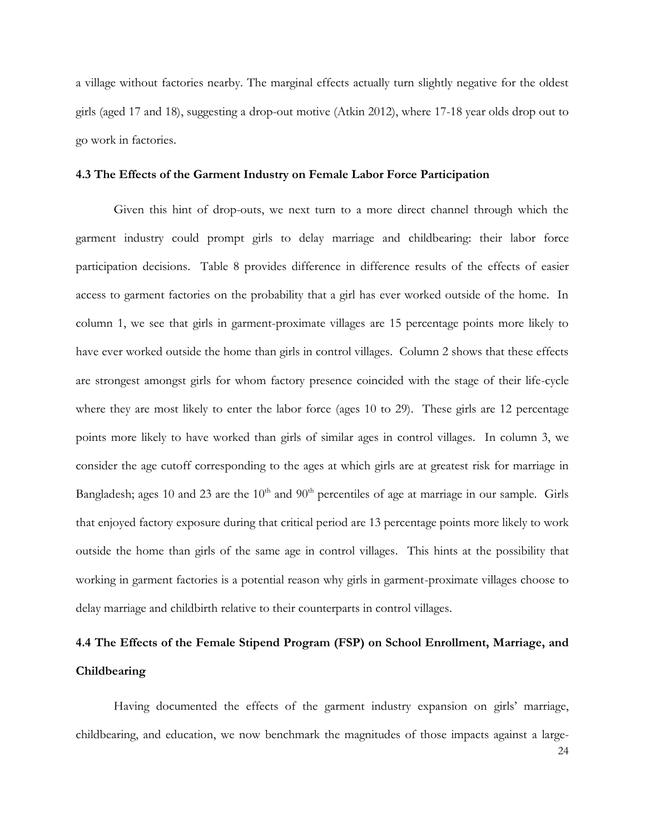a village without factories nearby. The marginal effects actually turn slightly negative for the oldest girls (aged 17 and 18), suggesting a drop-out motive (Atkin 2012), where 17-18 year olds drop out to go work in factories.

#### **4.3 The Effects of the Garment Industry on Female Labor Force Participation**

Given this hint of drop-outs, we next turn to a more direct channel through which the garment industry could prompt girls to delay marriage and childbearing: their labor force participation decisions. Table 8 provides difference in difference results of the effects of easier access to garment factories on the probability that a girl has ever worked outside of the home. In column 1, we see that girls in garment-proximate villages are 15 percentage points more likely to have ever worked outside the home than girls in control villages. Column 2 shows that these effects are strongest amongst girls for whom factory presence coincided with the stage of their life-cycle where they are most likely to enter the labor force (ages 10 to 29). These girls are 12 percentage points more likely to have worked than girls of similar ages in control villages. In column 3, we consider the age cutoff corresponding to the ages at which girls are at greatest risk for marriage in Bangladesh; ages 10 and 23 are the  $10<sup>th</sup>$  and  $90<sup>th</sup>$  percentiles of age at marriage in our sample. Girls that enjoyed factory exposure during that critical period are 13 percentage points more likely to work outside the home than girls of the same age in control villages. This hints at the possibility that working in garment factories is a potential reason why girls in garment-proximate villages choose to delay marriage and childbirth relative to their counterparts in control villages.

# **4.4 The Effects of the Female Stipend Program (FSP) on School Enrollment, Marriage, and Childbearing**

Having documented the effects of the garment industry expansion on girls' marriage, childbearing, and education, we now benchmark the magnitudes of those impacts against a large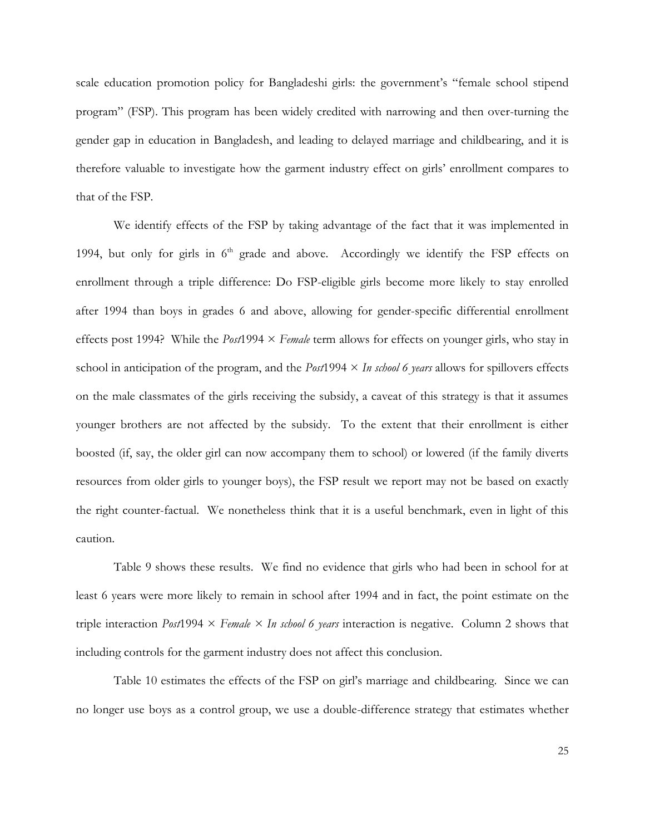scale education promotion policy for Bangladeshi girls: the government's "female school stipend program" (FSP). This program has been widely credited with narrowing and then over-turning the gender gap in education in Bangladesh, and leading to delayed marriage and childbearing, and it is therefore valuable to investigate how the garment industry effect on girls' enrollment compares to that of the FSP.

We identify effects of the FSP by taking advantage of the fact that it was implemented in 1994, but only for girls in  $6<sup>th</sup>$  grade and above. Accordingly we identify the FSP effects on enrollment through a triple difference: Do FSP-eligible girls become more likely to stay enrolled after 1994 than boys in grades 6 and above, allowing for gender-specific differential enrollment effects post 1994? While the *Post*1994 × *Female* term allows for effects on younger girls, who stay in school in anticipation of the program, and the *Post*1994 × *In school 6 years* allows for spillovers effects on the male classmates of the girls receiving the subsidy, a caveat of this strategy is that it assumes younger brothers are not affected by the subsidy. To the extent that their enrollment is either boosted (if, say, the older girl can now accompany them to school) or lowered (if the family diverts resources from older girls to younger boys), the FSP result we report may not be based on exactly the right counter-factual. We nonetheless think that it is a useful benchmark, even in light of this caution.

Table 9 shows these results. We find no evidence that girls who had been in school for at least 6 years were more likely to remain in school after 1994 and in fact, the point estimate on the triple interaction *Post*1994 × *Female × In school 6 years* interaction is negative. Column 2 shows that including controls for the garment industry does not affect this conclusion.

Table 10 estimates the effects of the FSP on girl's marriage and childbearing. Since we can no longer use boys as a control group, we use a double-difference strategy that estimates whether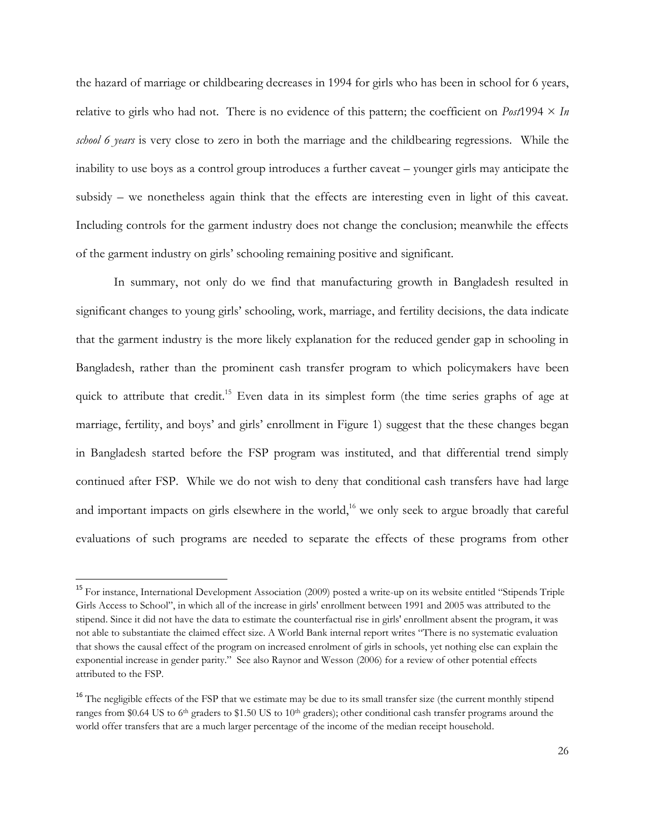the hazard of marriage or childbearing decreases in 1994 for girls who has been in school for 6 years, relative to girls who had not. There is no evidence of this pattern; the coefficient on *Post*1994  $\times$  *In school 6 years* is very close to zero in both the marriage and the childbearing regressions. While the inability to use boys as a control group introduces a further caveat – younger girls may anticipate the subsidy – we nonetheless again think that the effects are interesting even in light of this caveat. Including controls for the garment industry does not change the conclusion; meanwhile the effects of the garment industry on girls' schooling remaining positive and significant.

In summary, not only do we find that manufacturing growth in Bangladesh resulted in significant changes to young girls' schooling, work, marriage, and fertility decisions, the data indicate that the garment industry is the more likely explanation for the reduced gender gap in schooling in Bangladesh, rather than the prominent cash transfer program to which policymakers have been quick to attribute that credit.<sup>15</sup> Even data in its simplest form (the time series graphs of age at marriage, fertility, and boys' and girls' enrollment in Figure 1) suggest that the these changes began in Bangladesh started before the FSP program was instituted, and that differential trend simply continued after FSP. While we do not wish to deny that conditional cash transfers have had large and important impacts on girls elsewhere in the world,<sup>16</sup> we only seek to argue broadly that careful evaluations of such programs are needed to separate the effects of these programs from other

 $\overline{a}$ 

<sup>&</sup>lt;sup>15</sup> For instance, International Development Association (2009) posted a write-up on its website entitled "Stipends Triple Girls Access to School", in which all of the increase in girls' enrollment between 1991 and 2005 was attributed to the stipend. Since it did not have the data to estimate the counterfactual rise in girls' enrollment absent the program, it was not able to substantiate the claimed effect size. A World Bank internal report writes "There is no systematic evaluation that shows the causal effect of the program on increased enrolment of girls in schools, yet nothing else can explain the exponential increase in gender parity." See also Raynor and Wesson (2006) for a review of other potential effects attributed to the FSP.

<sup>&</sup>lt;sup>16</sup> The negligible effects of the FSP that we estimate may be due to its small transfer size (the current monthly stipend ranges from \$0.64 US to 6<sup>th</sup> graders to \$1.50 US to 10<sup>th</sup> graders); other conditional cash transfer programs around the world offer transfers that are a much larger percentage of the income of the median receipt household.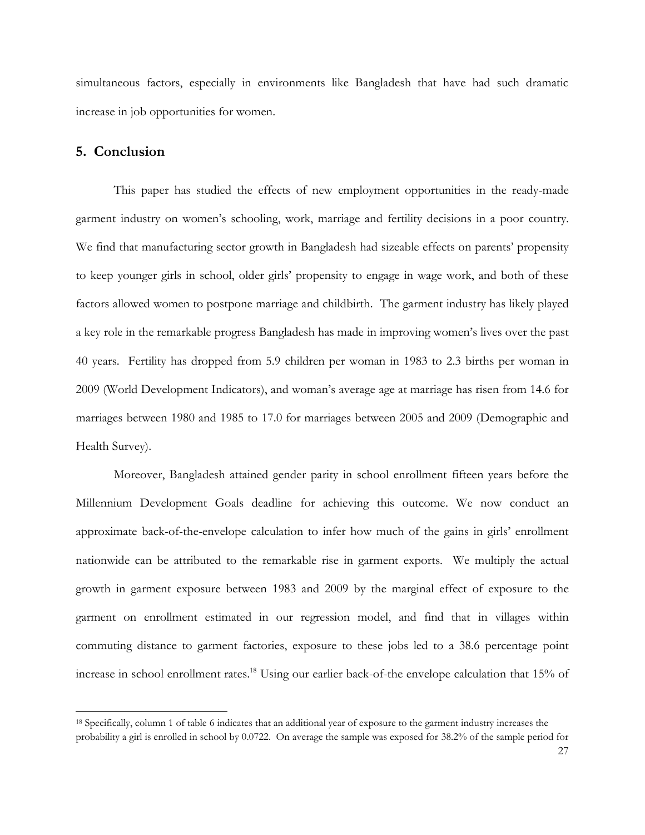simultaneous factors, especially in environments like Bangladesh that have had such dramatic increase in job opportunities for women.

#### **5. Conclusion**

 $\overline{a}$ 

This paper has studied the effects of new employment opportunities in the ready-made garment industry on women's schooling, work, marriage and fertility decisions in a poor country. We find that manufacturing sector growth in Bangladesh had sizeable effects on parents' propensity to keep younger girls in school, older girls' propensity to engage in wage work, and both of these factors allowed women to postpone marriage and childbirth. The garment industry has likely played a key role in the remarkable progress Bangladesh has made in improving women's lives over the past 40 years. Fertility has dropped from 5.9 children per woman in 1983 to 2.3 births per woman in 2009 (World Development Indicators), and woman's average age at marriage has risen from 14.6 for marriages between 1980 and 1985 to 17.0 for marriages between 2005 and 2009 (Demographic and Health Survey).

Moreover, Bangladesh attained gender parity in school enrollment fifteen years before the Millennium Development Goals deadline for achieving this outcome. We now conduct an approximate back-of-the-envelope calculation to infer how much of the gains in girls' enrollment nationwide can be attributed to the remarkable rise in garment exports. We multiply the actual growth in garment exposure between 1983 and 2009 by the marginal effect of exposure to the garment on enrollment estimated in our regression model, and find that in villages within commuting distance to garment factories, exposure to these jobs led to a 38.6 percentage point increase in school enrollment rates. <sup>18</sup> Using our earlier back-of-the envelope calculation that 15% of

<sup>18</sup> Specifically, column 1 of table 6 indicates that an additional year of exposure to the garment industry increases the probability a girl is enrolled in school by 0.0722. On average the sample was exposed for 38.2% of the sample period for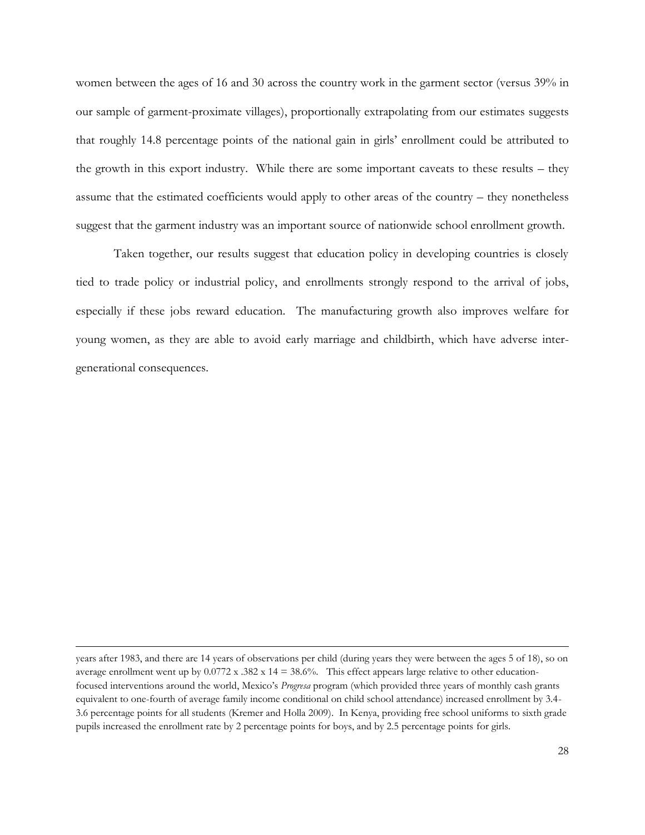women between the ages of 16 and 30 across the country work in the garment sector (versus 39% in our sample of garment-proximate villages), proportionally extrapolating from our estimates suggests that roughly 14.8 percentage points of the national gain in girls' enrollment could be attributed to the growth in this export industry. While there are some important caveats to these results – they assume that the estimated coefficients would apply to other areas of the country – they nonetheless suggest that the garment industry was an important source of nationwide school enrollment growth.

Taken together, our results suggest that education policy in developing countries is closely tied to trade policy or industrial policy, and enrollments strongly respond to the arrival of jobs, especially if these jobs reward education. The manufacturing growth also improves welfare for young women, as they are able to avoid early marriage and childbirth, which have adverse intergenerational consequences.

 $\overline{a}$ 

years after 1983, and there are 14 years of observations per child (during years they were between the ages 5 of 18), so on average enrollment went up by  $0.0772$  x  $.382$  x  $14 = 38.6\%$ . This effect appears large relative to other educationfocused interventions around the world, Mexico's *Progresa* program (which provided three years of monthly cash grants equivalent to one-fourth of average family income conditional on child school attendance) increased enrollment by 3.4- 3.6 percentage points for all students (Kremer and Holla 2009). In Kenya, providing free school uniforms to sixth grade pupils increased the enrollment rate by 2 percentage points for boys, and by 2.5 percentage points for girls.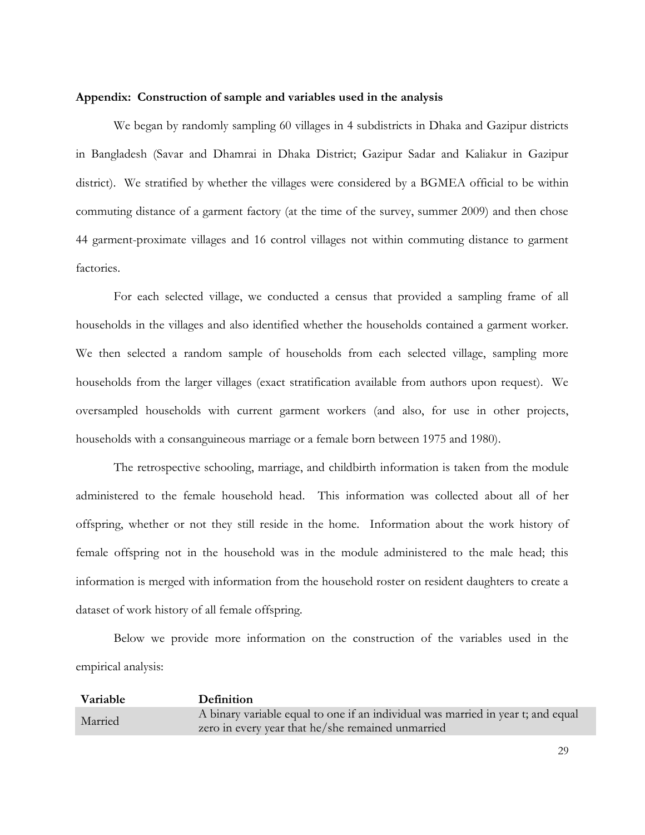#### **Appendix: Construction of sample and variables used in the analysis**

We began by randomly sampling 60 villages in 4 subdistricts in Dhaka and Gazipur districts in Bangladesh (Savar and Dhamrai in Dhaka District; Gazipur Sadar and Kaliakur in Gazipur district). We stratified by whether the villages were considered by a BGMEA official to be within commuting distance of a garment factory (at the time of the survey, summer 2009) and then chose 44 garment-proximate villages and 16 control villages not within commuting distance to garment factories.

For each selected village, we conducted a census that provided a sampling frame of all households in the villages and also identified whether the households contained a garment worker. We then selected a random sample of households from each selected village, sampling more households from the larger villages (exact stratification available from authors upon request). We oversampled households with current garment workers (and also, for use in other projects, households with a consanguineous marriage or a female born between 1975 and 1980).

The retrospective schooling, marriage, and childbirth information is taken from the module administered to the female household head. This information was collected about all of her offspring, whether or not they still reside in the home. Information about the work history of female offspring not in the household was in the module administered to the male head; this information is merged with information from the household roster on resident daughters to create a dataset of work history of all female offspring.

Below we provide more information on the construction of the variables used in the empirical analysis:

| Variable | <b>Definition</b>                                                                                                                     |
|----------|---------------------------------------------------------------------------------------------------------------------------------------|
| Married  | A binary variable equal to one if an individual was married in year t; and equal<br>zero in every year that he/she remained unmarried |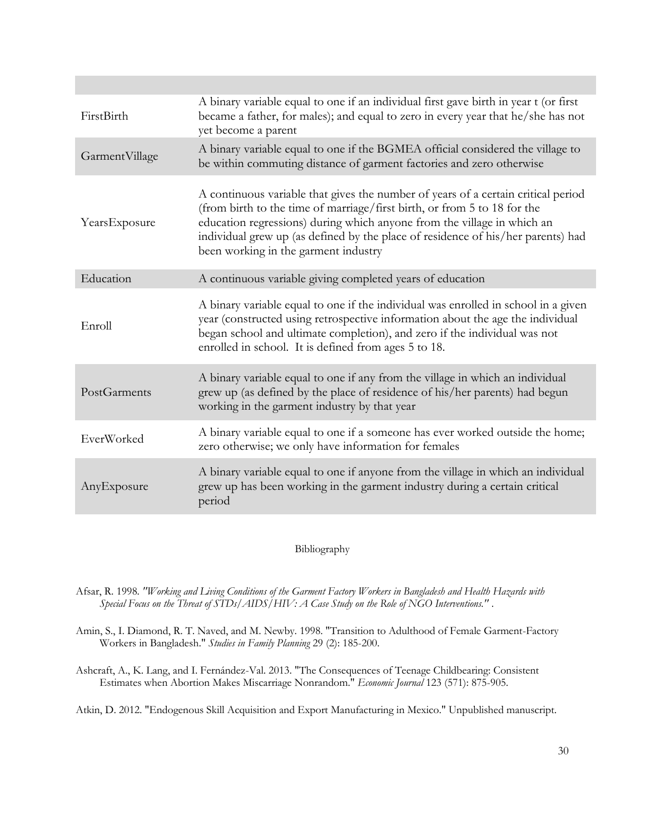| FirstBirth     | A binary variable equal to one if an individual first gave birth in year t (or first<br>became a father, for males); and equal to zero in every year that he/she has not<br>yet become a parent                                                                                                                                                                      |
|----------------|----------------------------------------------------------------------------------------------------------------------------------------------------------------------------------------------------------------------------------------------------------------------------------------------------------------------------------------------------------------------|
| GarmentVillage | A binary variable equal to one if the BGMEA official considered the village to<br>be within commuting distance of garment factories and zero otherwise                                                                                                                                                                                                               |
| YearsExposure  | A continuous variable that gives the number of years of a certain critical period<br>(from birth to the time of marriage/first birth, or from 5 to 18 for the<br>education regressions) during which anyone from the village in which an<br>individual grew up (as defined by the place of residence of his/her parents) had<br>been working in the garment industry |
| Education      | A continuous variable giving completed years of education                                                                                                                                                                                                                                                                                                            |
| Enroll         | A binary variable equal to one if the individual was enrolled in school in a given<br>year (constructed using retrospective information about the age the individual<br>began school and ultimate completion), and zero if the individual was not<br>enrolled in school. It is defined from ages 5 to 18.                                                            |
| PostGarments   | A binary variable equal to one if any from the village in which an individual<br>grew up (as defined by the place of residence of his/her parents) had begun<br>working in the garment industry by that year                                                                                                                                                         |
| EverWorked     | A binary variable equal to one if a someone has ever worked outside the home;<br>zero otherwise; we only have information for females                                                                                                                                                                                                                                |
| AnyExposure    | A binary variable equal to one if anyone from the village in which an individual<br>grew up has been working in the garment industry during a certain critical<br>period                                                                                                                                                                                             |

Bibliography

Afsar, R. 1998*. "Working and Living Conditions of the Garment Factory Workers in Bangladesh and Health Hazards with Special Focus on the Threat of STDs/AIDS/HIV: A Case Study on the Role of NGO Interventions."* .

Amin, S., I. Diamond, R. T. Naved, and M. Newby. 1998. "Transition to Adulthood of Female Garment-Factory Workers in Bangladesh." *Studies in Family Planning* 29 (2): 185-200.

Ashcraft, A., K. Lang, and I. Fernández-Val. 2013. "The Consequences of Teenage Childbearing: Consistent Estimates when Abortion Makes Miscarriage Nonrandom." *Economic Journal* 123 (571): 875-905.

Atkin, D. 2012. "Endogenous Skill Acquisition and Export Manufacturing in Mexico." Unpublished manuscript.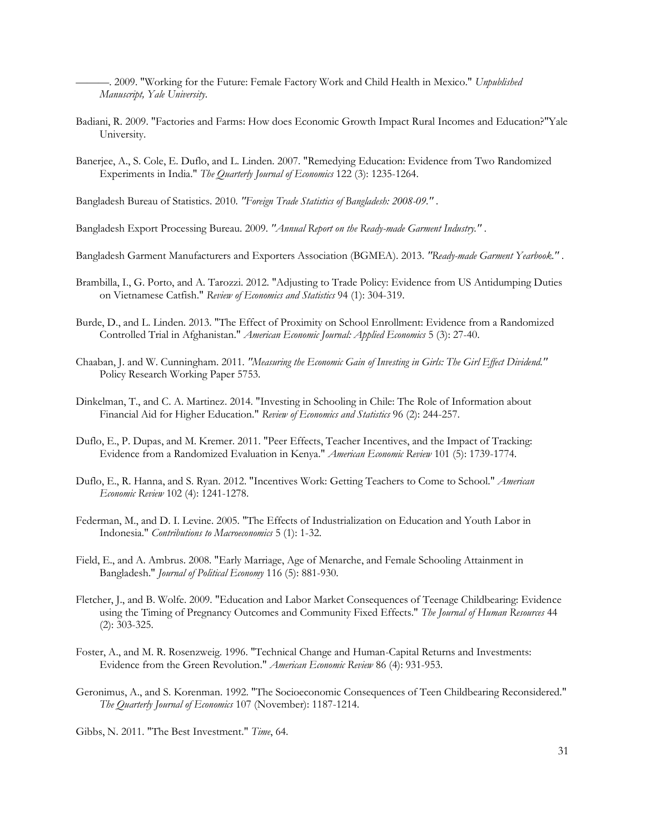———. 2009. "Working for the Future: Female Factory Work and Child Health in Mexico." *Unpublished Manuscript, Yale University*.

- Badiani, R. 2009. "Factories and Farms: How does Economic Growth Impact Rural Incomes and Education?"Yale University.
- Banerjee, A., S. Cole, E. Duflo, and L. Linden. 2007. "Remedying Education: Evidence from Two Randomized Experiments in India." *The Quarterly Journal of Economics* 122 (3): 1235-1264.

Bangladesh Bureau of Statistics. 2010*. "Foreign Trade Statistics of Bangladesh: 2008-09."* .

Bangladesh Export Processing Bureau. 2009*. "Annual Report on the Ready-made Garment Industry."* .

- Bangladesh Garment Manufacturers and Exporters Association (BGMEA). 2013*. "Ready-made Garment Yearbook."* .
- Brambilla, I., G. Porto, and A. Tarozzi. 2012. "Adjusting to Trade Policy: Evidence from US Antidumping Duties on Vietnamese Catfish." *Review of Economics and Statistics* 94 (1): 304-319.
- Burde, D., and L. Linden. 2013. "The Effect of Proximity on School Enrollment: Evidence from a Randomized Controlled Trial in Afghanistan." *American Economic Journal: Applied Economics* 5 (3): 27-40.
- Chaaban, J. and W. Cunningham. 2011*. "Measuring the Economic Gain of Investing in Girls: The Girl Effect Dividend."*  Policy Research Working Paper 5753.
- Dinkelman, T., and C. A. Martinez. 2014. "Investing in Schooling in Chile: The Role of Information about Financial Aid for Higher Education." *Review of Economics and Statistics* 96 (2): 244-257.
- Duflo, E., P. Dupas, and M. Kremer. 2011. "Peer Effects, Teacher Incentives, and the Impact of Tracking: Evidence from a Randomized Evaluation in Kenya." *American Economic Review* 101 (5): 1739-1774.
- Duflo, E., R. Hanna, and S. Ryan. 2012. "Incentives Work: Getting Teachers to Come to School." *American Economic Review* 102 (4): 1241-1278.
- Federman, M., and D. I. Levine. 2005. "The Effects of Industrialization on Education and Youth Labor in Indonesia." *Contributions to Macroeconomics* 5 (1): 1-32.
- Field, E., and A. Ambrus. 2008. "Early Marriage, Age of Menarche, and Female Schooling Attainment in Bangladesh." *Journal of Political Economy* 116 (5): 881-930.
- Fletcher, J., and B. Wolfe. 2009. "Education and Labor Market Consequences of Teenage Childbearing: Evidence using the Timing of Pregnancy Outcomes and Community Fixed Effects." *The Journal of Human Resources* 44 (2): 303-325.
- Foster, A., and M. R. Rosenzweig. 1996. "Technical Change and Human-Capital Returns and Investments: Evidence from the Green Revolution." *American Economic Review* 86 (4): 931-953.
- Geronimus, A., and S. Korenman. 1992. "The Socioeconomic Consequences of Teen Childbearing Reconsidered." *The Quarterly Journal of Economics* 107 (November): 1187-1214.

Gibbs, N. 2011. "The Best Investment." *Time*, 64.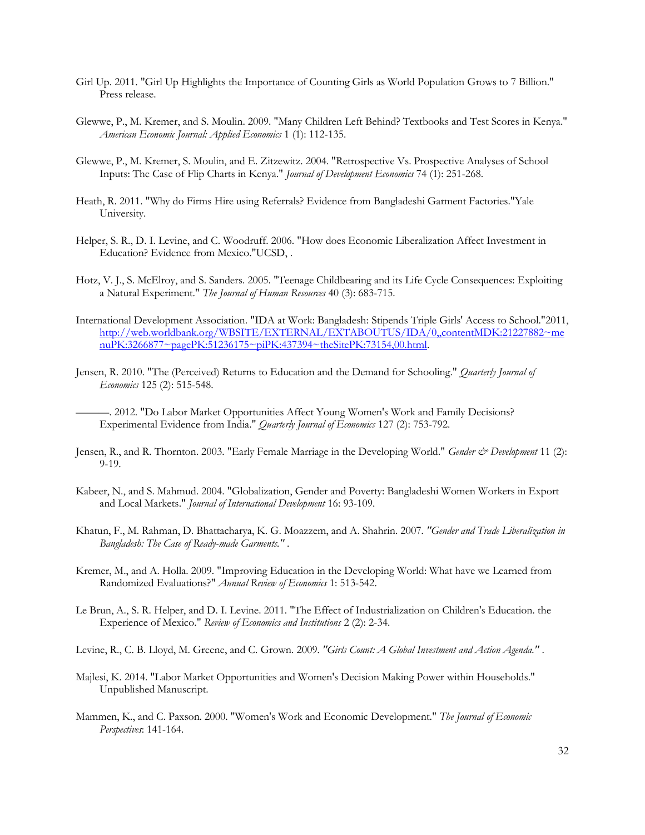- Girl Up. 2011. "Girl Up Highlights the Importance of Counting Girls as World Population Grows to 7 Billion." Press release.
- Glewwe, P., M. Kremer, and S. Moulin. 2009. "Many Children Left Behind? Textbooks and Test Scores in Kenya." *American Economic Journal: Applied Economics* 1 (1): 112-135.
- Glewwe, P., M. Kremer, S. Moulin, and E. Zitzewitz. 2004. "Retrospective Vs. Prospective Analyses of School Inputs: The Case of Flip Charts in Kenya." *Journal of Development Economics* 74 (1): 251-268.
- Heath, R. 2011. "Why do Firms Hire using Referrals? Evidence from Bangladeshi Garment Factories."Yale University.
- Helper, S. R., D. I. Levine, and C. Woodruff. 2006. "How does Economic Liberalization Affect Investment in Education? Evidence from Mexico."UCSD, .
- Hotz, V. J., S. McElroy, and S. Sanders. 2005. "Teenage Childbearing and its Life Cycle Consequences: Exploiting a Natural Experiment." *The Journal of Human Resources* 40 (3): 683-715.
- International Development Association. "IDA at Work: Bangladesh: Stipends Triple Girls' Access to School."2011, [http://web.worldbank.org/WBSITE/EXTERNAL/EXTABOUTUS/IDA/0,,contentMDK:21227882~me](http://web.worldbank.org/WBSITE/EXTERNAL/EXTABOUTUS/IDA/0,,contentMDK:21227882~menuPK:3266877~pagePK:51236175~piPK:437394~theSitePK:73154,00.html) [nuPK:3266877~pagePK:51236175~piPK:437394~theSitePK:73154,00.html.](http://web.worldbank.org/WBSITE/EXTERNAL/EXTABOUTUS/IDA/0,,contentMDK:21227882~menuPK:3266877~pagePK:51236175~piPK:437394~theSitePK:73154,00.html)
- Jensen, R. 2010. "The (Perceived) Returns to Education and the Demand for Schooling." *Quarterly Journal of Economics* 125 (2): 515-548.
	- ———. 2012. "Do Labor Market Opportunities Affect Young Women's Work and Family Decisions? Experimental Evidence from India." *Quarterly Journal of Economics* 127 (2): 753-792.
- Jensen, R., and R. Thornton. 2003. "Early Female Marriage in the Developing World." *Gender & Development* 11 (2): 9-19.
- Kabeer, N., and S. Mahmud. 2004. "Globalization, Gender and Poverty: Bangladeshi Women Workers in Export and Local Markets." *Journal of International Development* 16: 93-109.
- Khatun, F., M. Rahman, D. Bhattacharya, K. G. Moazzem, and A. Shahrin. 2007*. "Gender and Trade Liberalization in Bangladesh: The Case of Ready-made Garments."* .
- Kremer, M., and A. Holla. 2009. "Improving Education in the Developing World: What have we Learned from Randomized Evaluations?" *Annual Review of Economics* 1: 513-542.
- Le Brun, A., S. R. Helper, and D. I. Levine. 2011. "The Effect of Industrialization on Children's Education. the Experience of Mexico." *Review of Economics and Institutions* 2 (2): 2-34.

Levine, R., C. B. Lloyd, M. Greene, and C. Grown. 2009*. "Girls Count: A Global Investment and Action Agenda."* .

- Majlesi, K. 2014. "Labor Market Opportunities and Women's Decision Making Power within Households." Unpublished Manuscript.
- Mammen, K., and C. Paxson. 2000. "Women's Work and Economic Development." *The Journal of Economic Perspectives*: 141-164.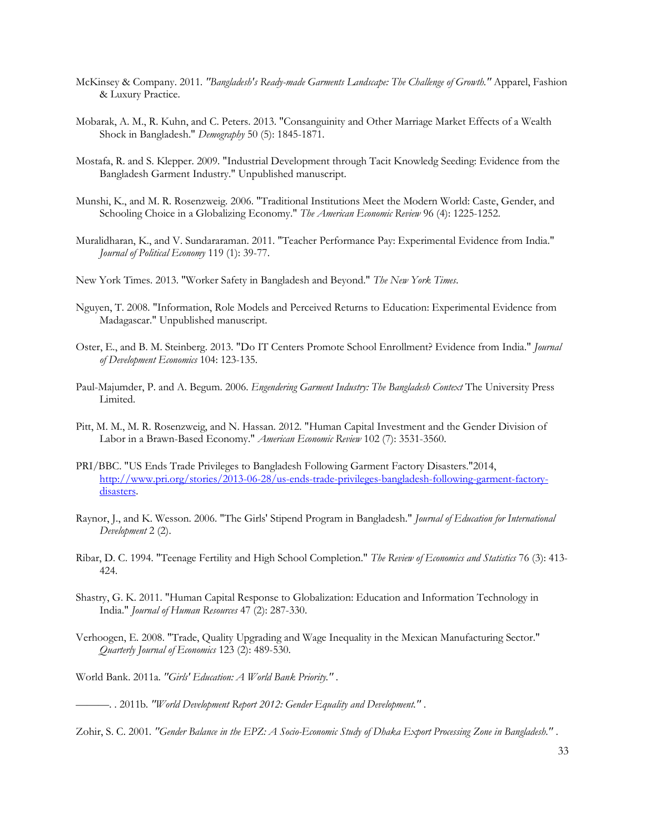- McKinsey & Company. 2011*. "Bangladesh's Ready-made Garments Landscape: The Challenge of Growth."* Apparel, Fashion & Luxury Practice.
- Mobarak, A. M., R. Kuhn, and C. Peters. 2013. "Consanguinity and Other Marriage Market Effects of a Wealth Shock in Bangladesh." *Demography* 50 (5): 1845-1871.
- Mostafa, R. and S. Klepper. 2009. "Industrial Development through Tacit Knowledg Seeding: Evidence from the Bangladesh Garment Industry." Unpublished manuscript.
- Munshi, K., and M. R. Rosenzweig. 2006. "Traditional Institutions Meet the Modern World: Caste, Gender, and Schooling Choice in a Globalizing Economy." *The American Economic Review* 96 (4): 1225-1252.
- Muralidharan, K., and V. Sundararaman. 2011. "Teacher Performance Pay: Experimental Evidence from India." *Journal of Political Economy* 119 (1): 39-77.
- New York Times. 2013. "Worker Safety in Bangladesh and Beyond." *The New York Times*.
- Nguyen, T. 2008. "Information, Role Models and Perceived Returns to Education: Experimental Evidence from Madagascar." Unpublished manuscript.
- Oster, E., and B. M. Steinberg. 2013. "Do IT Centers Promote School Enrollment? Evidence from India." *Journal of Development Economics* 104: 123-135.
- Paul-Majumder, P. and A. Begum. 2006. *Engendering Garment Industry: The Bangladesh Context* The University Press Limited.
- Pitt, M. M., M. R. Rosenzweig, and N. Hassan. 2012. "Human Capital Investment and the Gender Division of Labor in a Brawn-Based Economy." *American Economic Review* 102 (7): 3531-3560.
- PRI/BBC. "US Ends Trade Privileges to Bangladesh Following Garment Factory Disasters."2014, [http://www.pri.org/stories/2013-06-28/us-ends-trade-privileges-bangladesh-following-garment-factory](http://www.pri.org/stories/2013-06-28/us-ends-trade-privileges-bangladesh-following-garment-factory-disasters)[disasters.](http://www.pri.org/stories/2013-06-28/us-ends-trade-privileges-bangladesh-following-garment-factory-disasters)
- Raynor, J., and K. Wesson. 2006. "The Girls' Stipend Program in Bangladesh." *Journal of Education for International Development* 2 (2).
- Ribar, D. C. 1994. "Teenage Fertility and High School Completion." *The Review of Economics and Statistics* 76 (3): 413- 424.
- Shastry, G. K. 2011. "Human Capital Response to Globalization: Education and Information Technology in India." *Journal of Human Resources* 47 (2): 287-330.
- Verhoogen, E. 2008. "Trade, Quality Upgrading and Wage Inequality in the Mexican Manufacturing Sector." *Quarterly Journal of Economics* 123 (2): 489-530.

World Bank. 2011a*. "Girls' Education: A World Bank Priority."* .

<sup>———</sup>. . 2011b*. "World Development Report 2012: Gender Equality and Development."* .

Zohir, S. C. 2001*. "Gender Balance in the EPZ: A Socio-Economic Study of Dhaka Export Processing Zone in Bangladesh."* .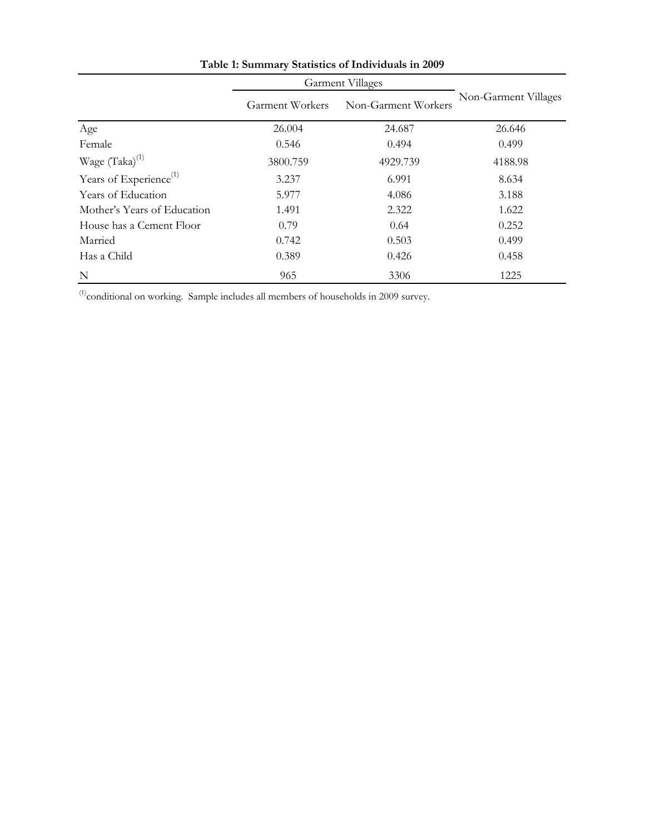|                                    | <b>Garment Villages</b>                       |          |                      |  |
|------------------------------------|-----------------------------------------------|----------|----------------------|--|
|                                    | Non-Garment Workers<br><b>Garment Workers</b> |          | Non-Garment Villages |  |
| Age                                | 26.004                                        | 24.687   | 26.646               |  |
| Female                             | 0.546                                         | 0.494    | 0.499                |  |
| Wage (Taka) <sup>(1)</sup>         | 3800.759                                      | 4929.739 | 4188.98              |  |
| Years of Experience <sup>(1)</sup> | 3.237                                         | 6.991    | 8.634                |  |
| Years of Education                 | 5.977                                         | 4.086    | 3.188                |  |
| Mother's Years of Education        | 1.491                                         | 2.322    | 1.622                |  |
| House has a Cement Floor           | 0.79                                          | 0.64     | 0.252                |  |
| Married                            | 0.742                                         | 0.503    | 0.499                |  |
| Has a Child                        | 0.389                                         | 0.426    | 0.458                |  |
| N                                  | 965                                           | 3306     | 1225                 |  |

**Table 1: Summary Statistics of Individuals in 2009**

 $(1)$ conditional on working. Sample includes all members of households in 2009 survey.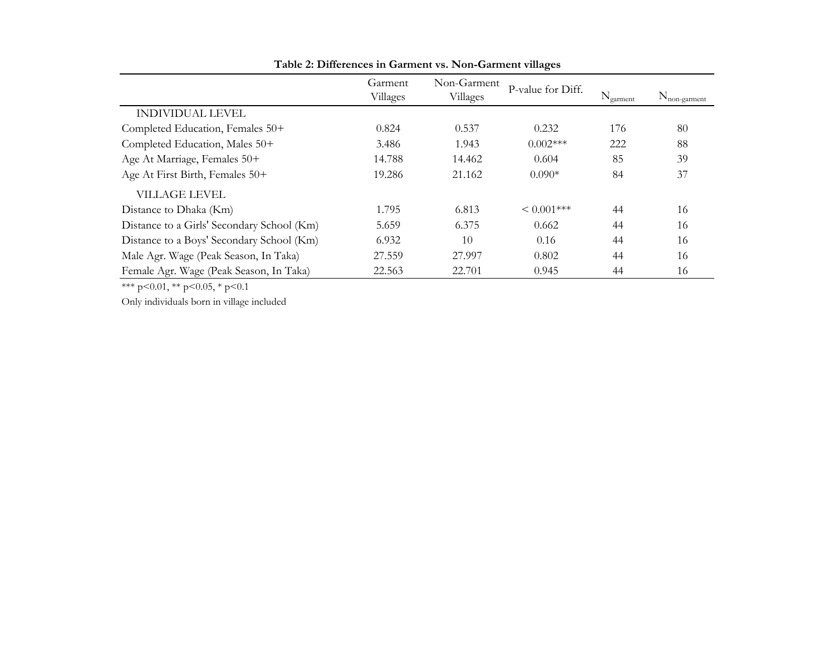|                                            | Garment<br>Villages | Non-Garment<br>Villages | P-value for Diff. | $N_{\text{garment}}$ | $N_{non- 2arment}$ |
|--------------------------------------------|---------------------|-------------------------|-------------------|----------------------|--------------------|
| <b>INDIVIDUAL LEVEL</b>                    |                     |                         |                   |                      |                    |
| Completed Education, Females 50+           | 0.824               | 0.537                   | 0.232             | 176                  | 80                 |
| Completed Education, Males 50+             | 3.486               | 1.943                   | $0.002***$        | 222                  | 88                 |
| Age At Marriage, Females 50+               | 14.788              | 14.462                  | 0.604             | 85                   | 39                 |
| Age At First Birth, Females 50+            | 19.286              | 21.162                  | $0.090*$          | 84                   | 37                 |
| VILLAGE LEVEL                              |                     |                         |                   |                      |                    |
| Distance to Dhaka (Km)                     | 1.795               | 6.813                   | $< 0.001$ ***     | 44                   | 16                 |
| Distance to a Girls' Secondary School (Km) | 5.659               | 6.375                   | 0.662             | 44                   | 16                 |
| Distance to a Boys' Secondary School (Km)  | 6.932               | 10                      | 0.16              | 44                   | 16                 |
| Male Agr. Wage (Peak Season, In Taka)      | 27.559              | 27.997                  | 0.802             | 44                   | 16                 |
| Female Agr. Wage (Peak Season, In Taka)    | 22.563              | 22.701                  | 0.945             | 44                   | 16                 |

**Table 2: Differences in Garment vs. Non-Garment villages**

\*\*\* p<0.01, \*\* p<0.05, \* p<0.1

Only individuals born in village included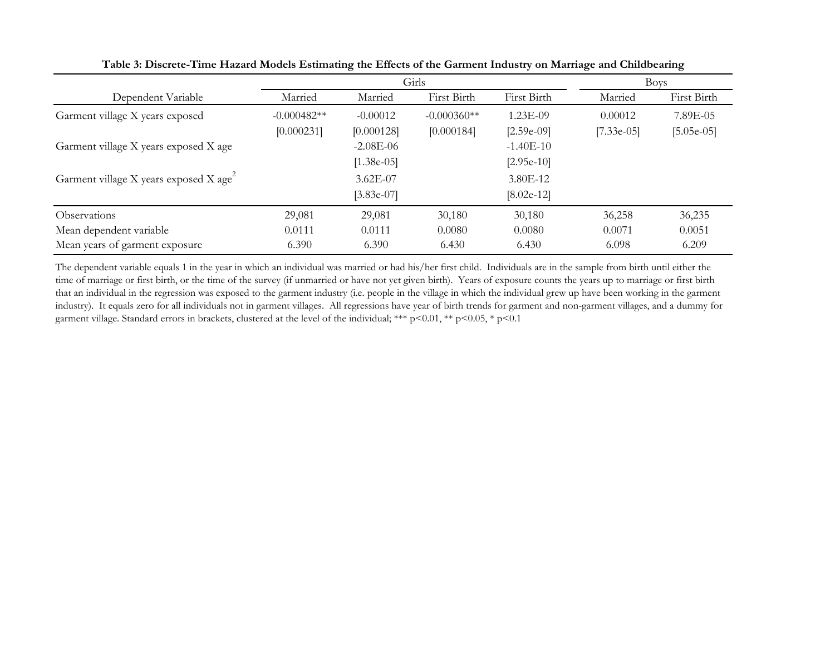|                                                    |                             |                             | Girls                       |                             |                         | <b>Boys</b>              |
|----------------------------------------------------|-----------------------------|-----------------------------|-----------------------------|-----------------------------|-------------------------|--------------------------|
| Dependent Variable                                 | Married                     | Married                     | First Birth                 | First Birth                 | Married                 | First Birth              |
| Garment village X years exposed                    | $-0.000482**$<br>[0.000231] | $-0.00012$<br>[0.000128]    | $-0.000360**$<br>[0.000184] | 1.23E-09<br>$[2.59e-09]$    | 0.00012<br>$[7.33e-05]$ | 7.89E-05<br>$[5.05e-05]$ |
| Garment village X years exposed X age              |                             | $-2.08E-06$<br>$[1.38e-05]$ |                             | $-1.40E-10$<br>$[2.95e-10]$ |                         |                          |
| Garment village X years exposed X age <sup>2</sup> |                             | 3.62E-07<br>$[3.83e-07]$    |                             | 3.80E-12<br>$[8.02e-12]$    |                         |                          |
| <b>Observations</b>                                | 29,081                      | 29,081                      | 30,180                      | 30,180                      | 36,258                  | 36,235                   |
| Mean dependent variable                            | 0.0111                      | 0.0111                      | 0.0080                      | 0.0080                      | 0.0071                  | 0.0051                   |
| Mean years of garment exposure                     | 6.390                       | 6.390                       | 6.430                       | 6.430                       | 6.098                   | 6.209                    |

**Table 3: Discrete-Time Hazard Models Estimating the Effects of the Garment Industry on Marriage and Childbearing**

The dependent variable equals 1 in the year in which an individual was married or had his/her first child. Individuals are in the sample from birth until either the time of marriage or first birth, or the time of the survey (if unmarried or have not yet given birth). Years of exposure counts the years up to marriage or first birth that an individual in the regression was exposed to the garment industry (i.e. people in the village in which the individual grew up have been working in the garment industry). It equals zero for all individuals not in garment villages. All regressions have year of birth trends for garment and non-garment villages, and a dummy for garment village. Standard errors in brackets, clustered at the level of the individual; \*\*\* p<0.01, \*\* p<0.05, \* p<0.1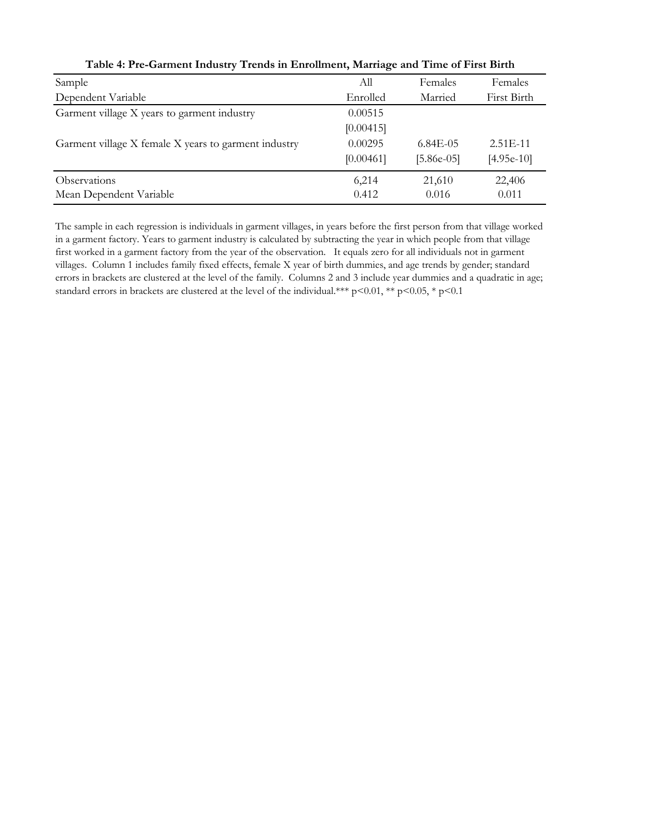| Sample                                               | All       | Females      | Females      |
|------------------------------------------------------|-----------|--------------|--------------|
| Dependent Variable                                   | Enrolled  | Married      | First Birth  |
| Garment village X years to garment industry          | 0.00515   |              |              |
|                                                      | [0.00415] |              |              |
| Garment village X female X years to garment industry | 0.00295   | $6.84E - 05$ | $2.51E-11$   |
|                                                      | [0.00461] | $[5.86e-05]$ | $[4.95e-10]$ |
| Observations                                         | 6,214     | 21,610       | 22,406       |
| Mean Dependent Variable                              | 0.412     | 0.016        | 0.011        |

#### **Table 4: Pre-Garment Industry Trends in Enrollment, Marriage and Time of First Birth**

The sample in each regression is individuals in garment villages, in years before the first person from that village worked in a garment factory. Years to garment industry is calculated by subtracting the year in which people from that village first worked in a garment factory from the year of the observation. It equals zero for all individuals not in garment villages. Column 1 includes family fixed effects, female X year of birth dummies, and age trends by gender; standard errors in brackets are clustered at the level of the family. Columns 2 and 3 include year dummies and a quadratic in age; standard errors in brackets are clustered at the level of the individual.\*\*\* p<0.01, \*\* p<0.05, \* p<0.1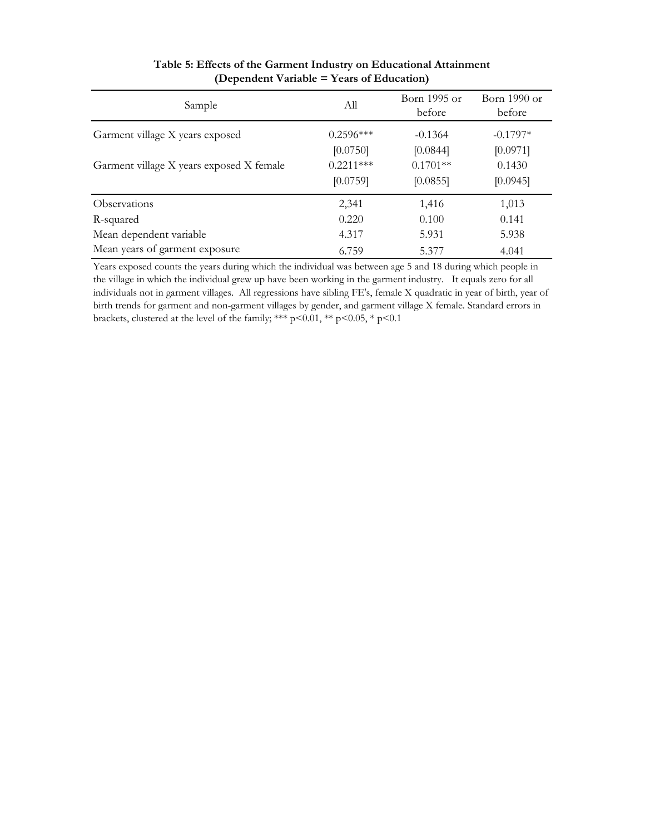| Sample                                   | All                     | Born 1995 or<br>before             | Born $1990$ or<br>before       |
|------------------------------------------|-------------------------|------------------------------------|--------------------------------|
| Garment village X years exposed          | $0.2596***$<br>[0.0750] | $-0.1364$                          | $-0.1797*$                     |
| Garment village X years exposed X female | $0.2211***$<br>[0.0759] | [0.0844]<br>$0.1701**$<br>[0.0855] | [0.0971]<br>0.1430<br>[0.0945] |
| Observations                             | 2,341                   | 1,416                              | 1,013                          |
| R-squared                                | 0.220                   | 0.100                              | 0.141                          |
| Mean dependent variable                  | 4.317                   | 5.931                              | 5.938                          |
| Mean years of garment exposure           | 6.759                   | 5.377                              | 4.041                          |

#### **Table 5: Effects of the Garment Industry on Educational Attainment (Dependent Variable = Years of Education)**

Years exposed counts the years during which the individual was between age 5 and 18 during which people in the village in which the individual grew up have been working in the garment industry. It equals zero for all individuals not in garment villages. All regressions have sibling FE's, female X quadratic in year of birth, year of birth trends for garment and non-garment villages by gender, and garment village X female. Standard errors in brackets, clustered at the level of the family; \*\*\*  $p<0.01$ , \*\*  $p<0.05$ , \*  $p<0.1$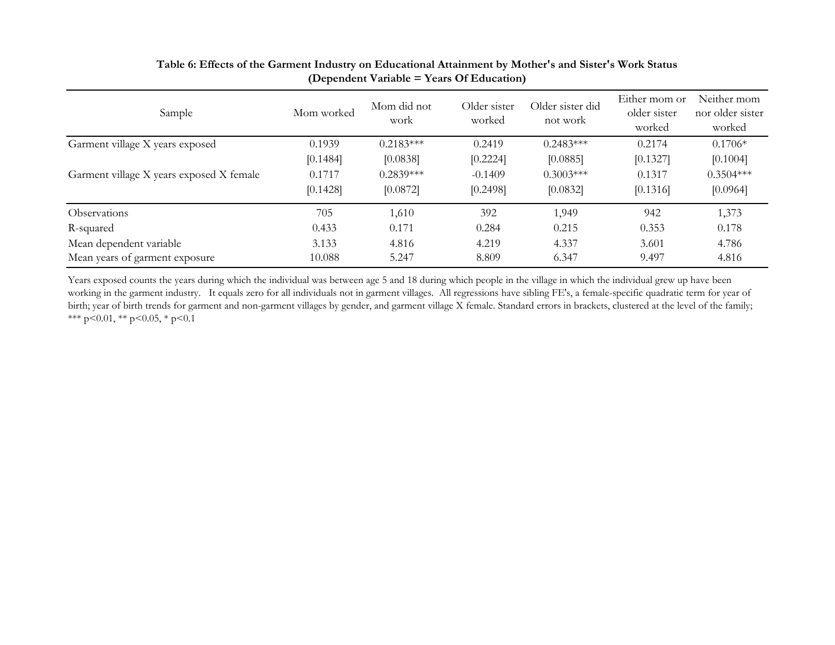| Sample                                   | Mom worked | Mom did not<br>work | Older sister<br>worked | Older sister did<br>not work | Either mom or<br>older sister<br>worked | Neither mom<br>nor older sister<br>worked |
|------------------------------------------|------------|---------------------|------------------------|------------------------------|-----------------------------------------|-------------------------------------------|
| Garment village X years exposed          | 0.1939     | $0.2183***$         | 0.2419                 | $0.2483***$                  | 0.2174                                  | $0.1706*$                                 |
|                                          | [0.1484]   | [0.0838]            | [0.2224]               | [0.0885]                     | [0.1327]                                | [0.1004]                                  |
| Garment village X years exposed X female | 0.1717     | $0.2839***$         | $-0.1409$              | $0.3003***$                  | 0.1317                                  | $0.3504***$                               |
|                                          | [0.1428]   | [0.0872]            | [0.2498]               | [0.0832]                     | [0.1316]                                | [0.0964]                                  |
| <b>Observations</b>                      | 705        | 1,610               | 392                    | 1,949                        | 942                                     | 1,373                                     |
| R-squared                                | 0.433      | 0.171               | 0.284                  | 0.215                        | 0.353                                   | 0.178                                     |
| Mean dependent variable                  | 3.133      | 4.816               | 4.219                  | 4.337                        | 3.601                                   | 4.786                                     |
| Mean years of garment exposure           | 10.088     | 5.247               | 8.809                  | 6.347                        | 9.497                                   | 4.816                                     |

#### **Table 6: Effects of the Garment Industry on Educational Attainment by Mother's and Sister's Work Status (Dependent Variable = Years Of Education)**

Years exposed counts the years during which the individual was between age 5 and 18 during which people in the village in which the individual grew up have been working in the garment industry. It equals zero for all individuals not in garment villages. All regressions have sibling FE's, a female-specific quadratic term for year of birth; year of birth trends for garment and non-garment villages by gender, and garment village X female. Standard errors in brackets, clustered at the level of the family; \*\*\* p<0.01, \*\* p<0.05, \* p<0.1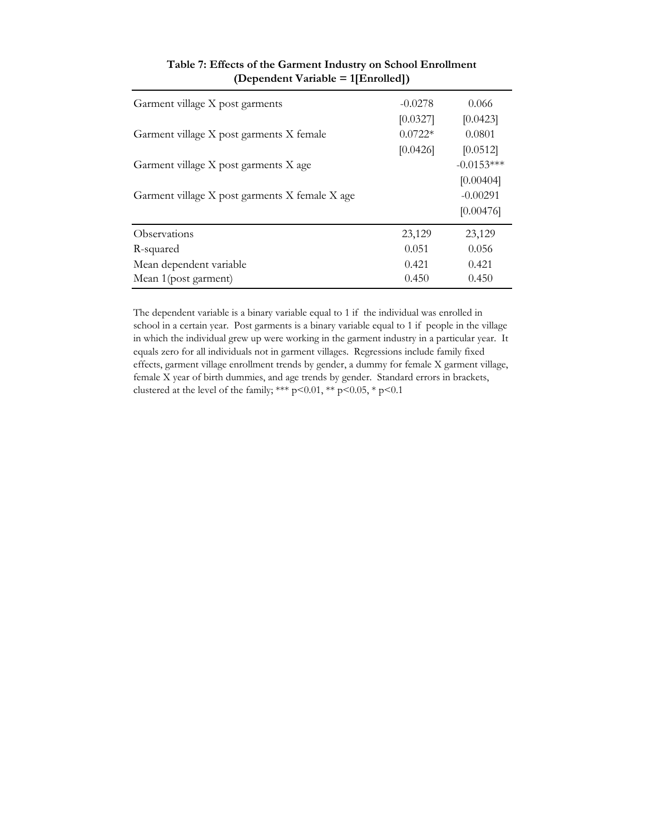| Garment village X post garments                | $-0.0278$<br>[0.0327] | 0.066<br>[0.0423] |
|------------------------------------------------|-----------------------|-------------------|
| Garment village X post garments X female       | $0.0722*$             | 0.0801            |
|                                                | [0.0426]              | [0.0512]          |
| Garment village X post garments X age          |                       | $-0.0153***$      |
|                                                |                       | [0.00404]         |
| Garment village X post garments X female X age |                       | $-0.00291$        |
|                                                |                       | [0.00476]         |
| <b>Observations</b>                            | 23,129                | 23,129            |
| R-squared                                      | 0.051                 | 0.056             |
| Mean dependent variable                        | 0.421                 | 0.421             |
| Mean 1(post garment)                           | 0.450                 | 0.450             |

#### **Table 7: Effects of the Garment Industry on School Enrollment (Dependent Variable = 1[Enrolled])**

The dependent variable is a binary variable equal to 1 if the individual was enrolled in school in a certain year. Post garments is a binary variable equal to 1 if people in the village in which the individual grew up were working in the garment industry in a particular year. It equals zero for all individuals not in garment villages. Regressions include family fixed effects, garment village enrollment trends by gender, a dummy for female X garment village, female X year of birth dummies, and age trends by gender. Standard errors in brackets, clustered at the level of the family; \*\*\* p<0.01, \*\* p<0.05, \* p<0.1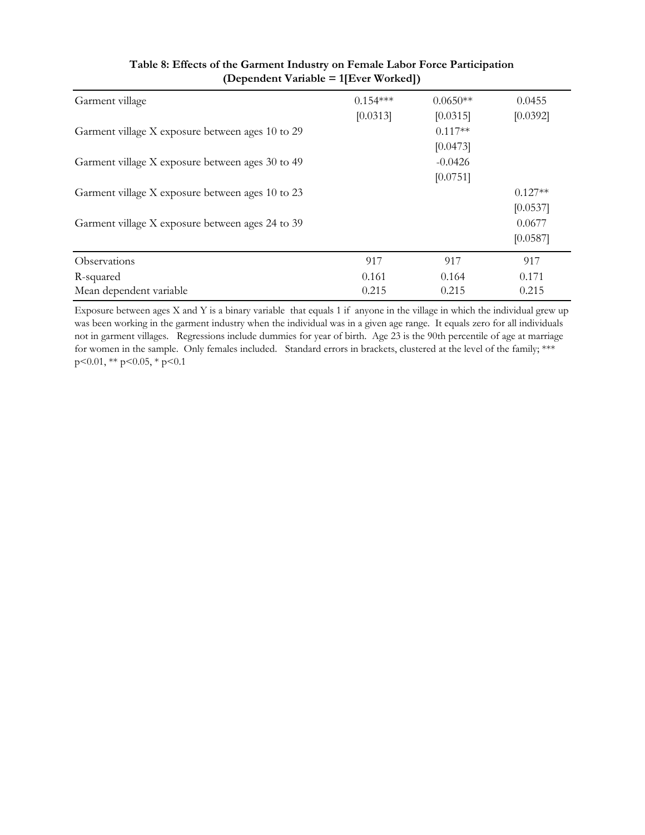| Garment village                                  | $0.154***$ | $0.0650**$ | 0.0455    |
|--------------------------------------------------|------------|------------|-----------|
|                                                  | [0.0313]   | [0.0315]   | [0.0392]  |
| Garment village X exposure between ages 10 to 29 |            | $0.117**$  |           |
|                                                  |            | [0.0473]   |           |
| Garment village X exposure between ages 30 to 49 |            | $-0.0426$  |           |
|                                                  |            | [0.0751]   |           |
| Garment village X exposure between ages 10 to 23 |            |            | $0.127**$ |
|                                                  |            |            | [0.0537]  |
| Garment village X exposure between ages 24 to 39 |            |            | 0.0677    |
|                                                  |            |            | [0.0587]  |
| Observations                                     | 917        | 917        | 917       |
| R-squared                                        | 0.161      | 0.164      | 0.171     |
| Mean dependent variable                          | 0.215      | 0.215      | 0.215     |

#### **Table 8: Effects of the Garment Industry on Female Labor Force Participation (Dependent Variable = 1[Ever Worked])**

Exposure between ages X and Y is a binary variable that equals 1 if anyone in the village in which the individual grew up was been working in the garment industry when the individual was in a given age range. It equals zero for all individuals not in garment villages. Regressions include dummies for year of birth. Age 23 is the 90th percentile of age at marriage for women in the sample. Only females included. Standard errors in brackets, clustered at the level of the family; \*\*\* p<0.01, \*\* p<0.05, \* p<0.1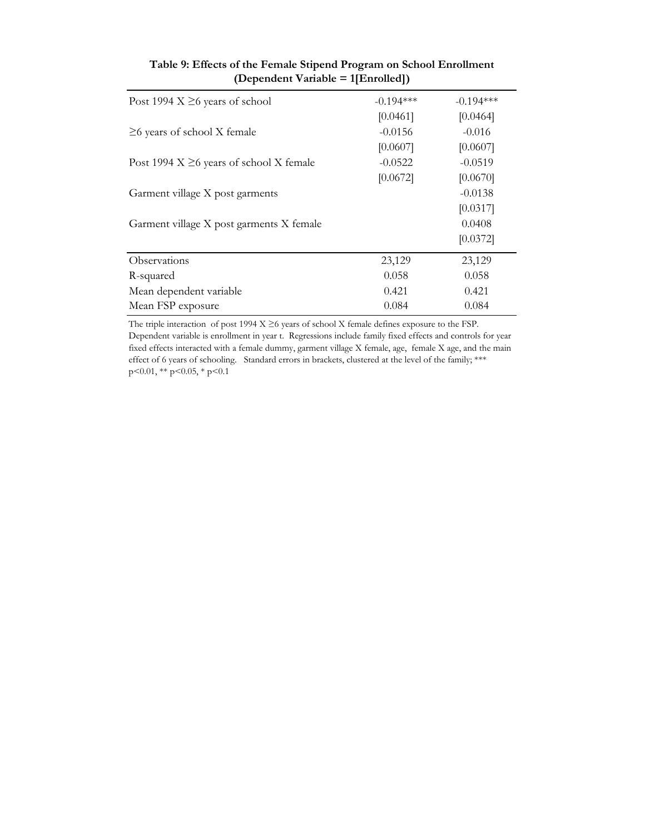| Post 1994 $X \geq 6$ years of school          | $-0.194***$ | $-0.194***$ |
|-----------------------------------------------|-------------|-------------|
|                                               | [0.0461]    | [0.0464]    |
| $\geq$ 6 years of school X female             | $-0.0156$   | $-0.016$    |
|                                               | [0.0607]    | [0.0607]    |
| Post 1994 $X \geq 6$ years of school X female | $-0.0522$   | $-0.0519$   |
|                                               | [0.0672]    | [0.0670]    |
| Garment village X post garments               |             | $-0.0138$   |
|                                               |             | [0.0317]    |
| Garment village X post garments X female      |             | 0.0408      |
|                                               |             | [0.0372]    |
| Observations                                  | 23,129      | 23,129      |
| R-squared                                     | 0.058       | 0.058       |
| Mean dependent variable                       | 0.421       | 0.421       |
| Mean FSP exposure                             | 0.084       | 0.084       |

#### **Table 9: Effects of the Female Stipend Program on School Enrollment (Dependent Variable = 1[Enrolled])**

The triple interaction of post 1994 X ≥6 years of school X female defines exposure to the FSP. Dependent variable is enrollment in year t. Regressions include family fixed effects and controls for year fixed effects interacted with a female dummy, garment village X female, age, female X age, and the main effect of 6 years of schooling. Standard errors in brackets, clustered at the level of the family; \*\*\* p<0.01, \*\* p<0.05, \* p<0.1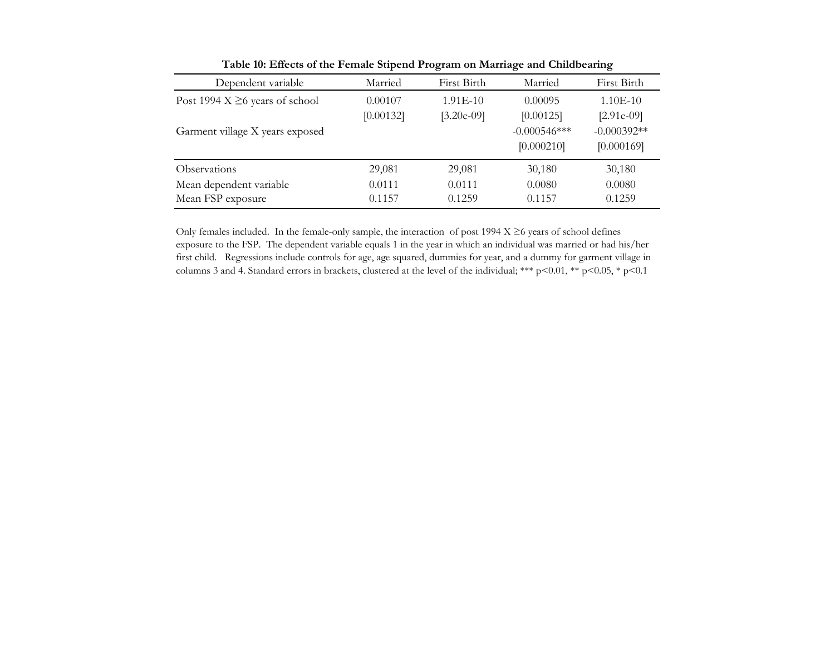| Dependent variable                   | Married   | First Birth  | Married         | First Birth   |
|--------------------------------------|-----------|--------------|-----------------|---------------|
| Post 1994 $X \geq 6$ years of school | 0.00107   | $1.91E-10$   | 0.00095         | $1.10E-10$    |
|                                      | [0.00132] | $[3.20e-09]$ | [0.00125]       | $[2.91e-09]$  |
| Garment village X years exposed      |           |              | $-0.000546$ *** | $-0.000392**$ |
|                                      |           |              | [0.000210]      | [0.000169]    |
| <b>Observations</b>                  | 29,081    | 29,081       | 30,180          | 30,180        |
| Mean dependent variable              | 0.0111    | 0.0111       | 0.0080          | 0.0080        |
| Mean FSP exposure                    | 0.1157    | 0.1259       | 0.1157          | 0.1259        |

**Table 10: Effects of the Female Stipend Program on Marriage and Childbearing**

Only females included. In the female-only sample, the interaction of post 1994  $X \ge 6$  years of school defines exposure to the FSP. The dependent variable equals 1 in the year in which an individual was married or had his/her first child. Regressions include controls for age, age squared, dummies for year, and a dummy for garment village in columns 3 and 4. Standard errors in brackets, clustered at the level of the individual; \*\*\* p<0.01, \*\* p<0.05, \* p<0.1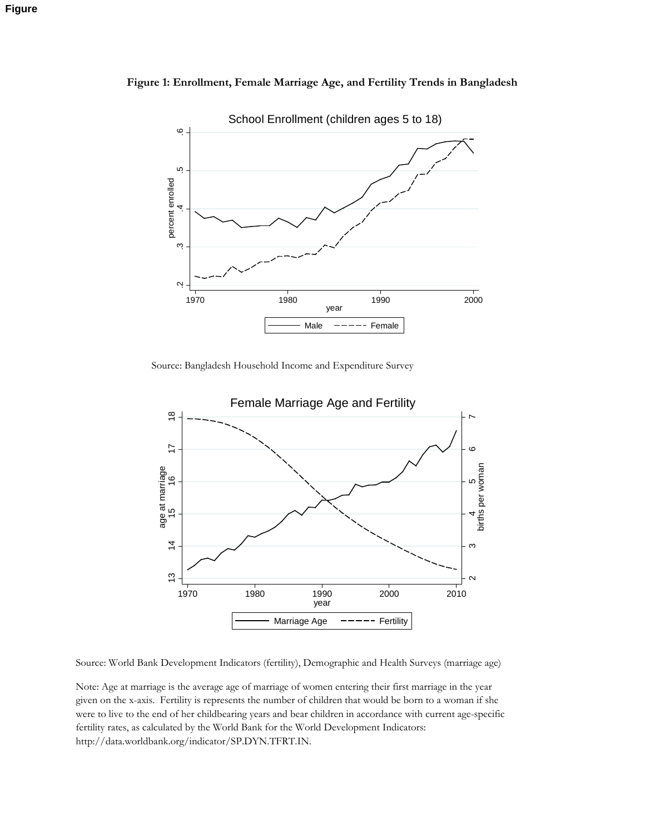

**Figure 1: Enrollment, Female Marriage Age, and Fertility Trends in Bangladesh**

Source: Bangladesh Household Income and Expenditure Survey



Source: World Bank Development Indicators (fertility), Demographic and Health Surveys (marriage age)

Note: Age at marriage is the average age of marriage of women entering their first marriage in the year given on the x-axis. Fertility is represents the number of children that would be born to a woman if she were to live to the end of her childbearing years and bear children in accordance with current age-specific fertility rates, as calculated by the World Bank for the World Development Indicators: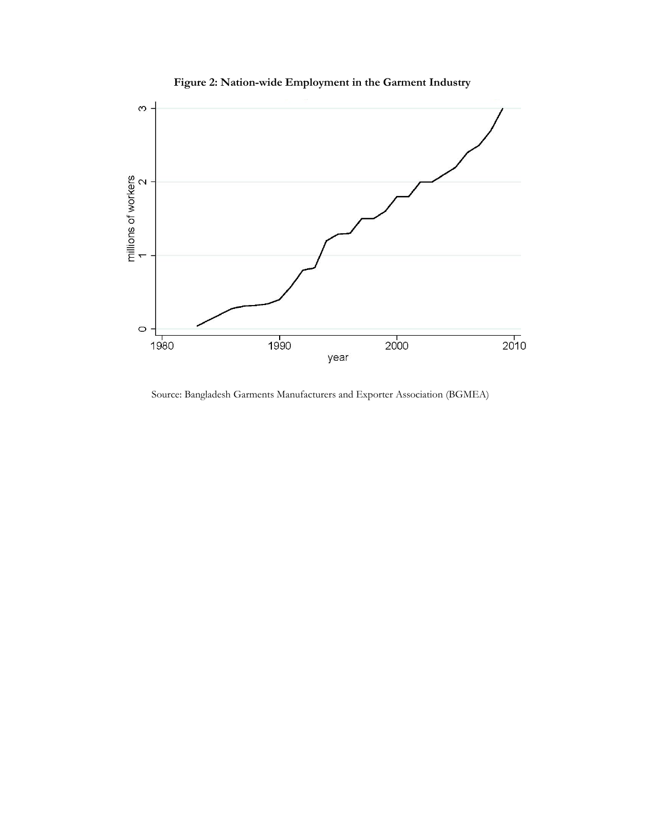

**Figure 2: Nation-wide Employment in the Garment Industry**

Source: Bangladesh Garments Manufacturers and Exporter Association (BGMEA)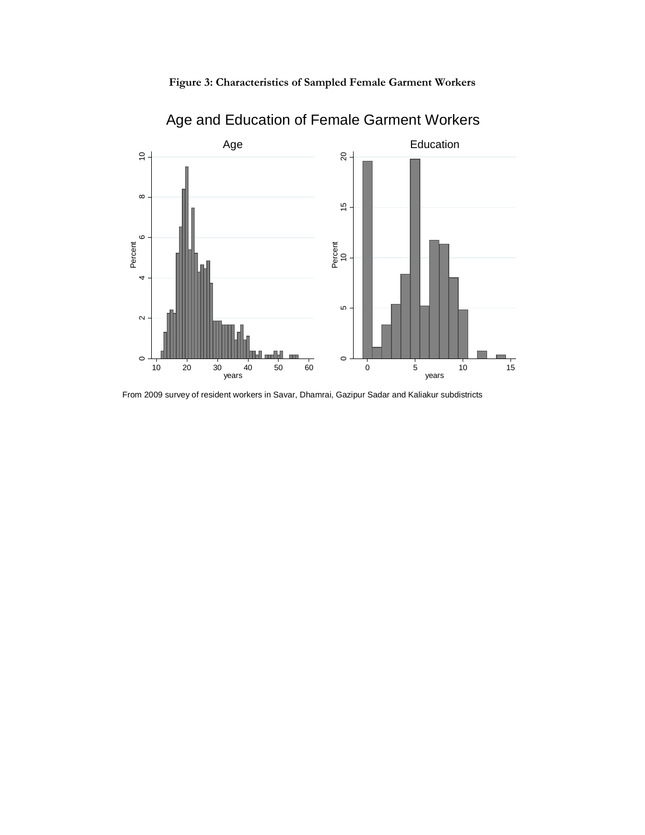



Age and Education of Female Garment Workers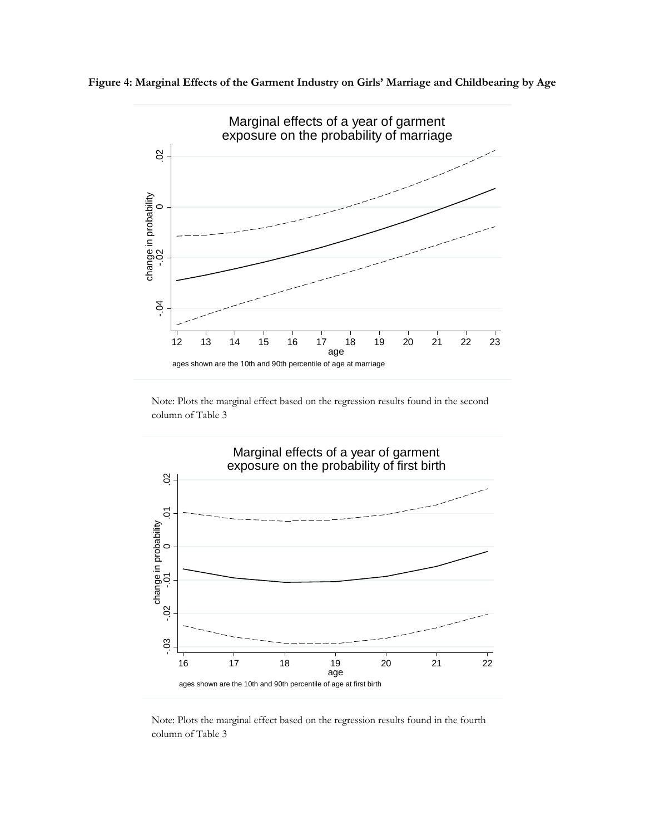



Note: Plots the marginal effect based on the regression results found in the second column of Table 3



Note: Plots the marginal effect based on the regression results found in the fourth column of Table 3